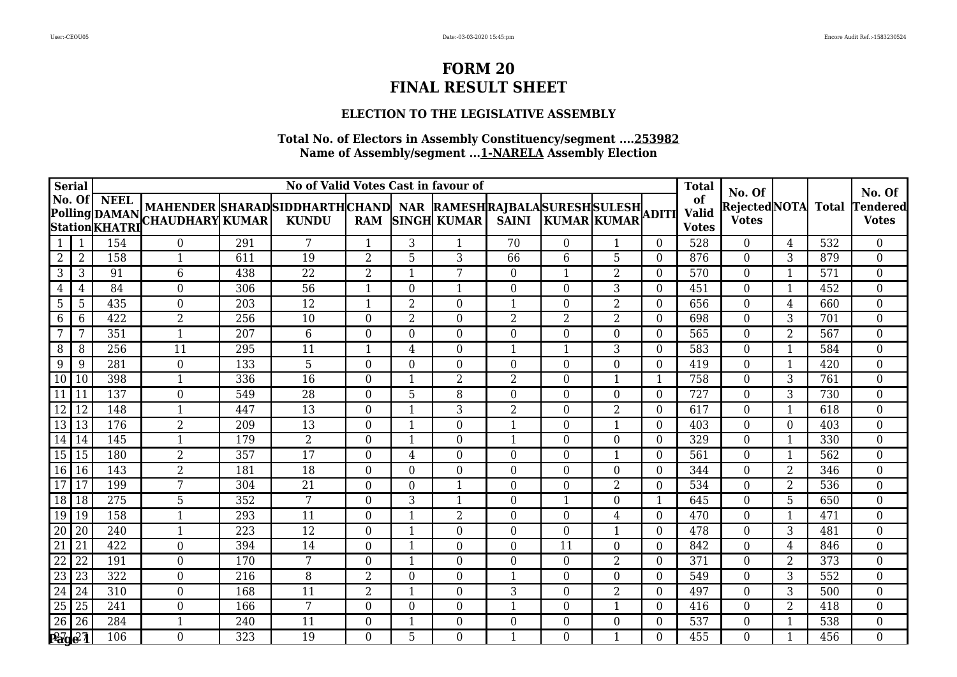### **ELECTION TO THE LEGISLATIVE ASSEMBLY**

| <b>Serial</b>                      |                      |                  |                                                                                                                                                                                                                 |     | No of Valid Votes Cast in favour of |                |                |                  |                  |                |                |                | <b>Total</b>                       |                                              |                |                  |                                           |
|------------------------------------|----------------------|------------------|-----------------------------------------------------------------------------------------------------------------------------------------------------------------------------------------------------------------|-----|-------------------------------------|----------------|----------------|------------------|------------------|----------------|----------------|----------------|------------------------------------|----------------------------------------------|----------------|------------------|-------------------------------------------|
| No. Of                             |                      | NEEL             | MAHENDER SHARADSIDDHARTHCHAND   NAR  RAMESH RAJBALA SURESH SULESH <br> CHAUDHARY  KUMAR   KUNDU   RAM  SINGH  KUMAR   SAINI   KUMAR  KUMAR  <br>Polling DAMAN MAHENDER SHAKAD<br>Station KHATRI CHAUDHARY KUMAR |     |                                     |                |                |                  |                  |                |                |                | of<br><b>Valid</b><br><b>Votes</b> | No. Of<br>RejectedNOTA Total<br><b>Votes</b> |                |                  | No. Of<br><b>Tendered</b><br><b>Votes</b> |
| 1                                  | $\overline{1}$       | 154              | $\Omega$                                                                                                                                                                                                        | 291 | $7\phantom{.0}$                     | $\mathbf{1}$   | 3              | $\mathbf{1}$     | 70               | $\Omega$       | $\mathbf{1}$   | $\overline{0}$ | 528                                | $\overline{0}$                               | $\overline{4}$ | 532              | $\overline{0}$                            |
| 2                                  | 2                    | 158              | 1                                                                                                                                                                                                               | 611 | 19                                  | $\overline{2}$ | 5              | 3                | 66               | 6              | 5              | $\Omega$       | 876                                | $\theta$                                     | 3              | 879              | $\overline{0}$                            |
| 3                                  | 3                    | 91               | 6                                                                                                                                                                                                               | 438 | $\overline{22}$                     | $\overline{2}$ |                | 7                | $\boldsymbol{0}$ | $\mathbf{1}$   | $\overline{2}$ | $\Omega$       | 570                                | $\overline{0}$                               | $\mathbf{1}$   | $\overline{571}$ | $\overline{0}$                            |
| $\overline{4}$                     | 4                    | 84               | $\boldsymbol{0}$                                                                                                                                                                                                | 306 | 56                                  |                | $\theta$       | $\mathbf{1}$     | $\boldsymbol{0}$ | $\overline{0}$ | 3              | $\theta$       | 451                                | $\boldsymbol{0}$                             | $\mathbf{1}$   | 452              | $\boldsymbol{0}$                          |
| 5                                  | 5                    | 435              | $\overline{0}$                                                                                                                                                                                                  | 203 | 12                                  | $\mathbf 1$    | $\overline{2}$ | $\mathbf{0}$     | $\mathbf{1}$     | $\Omega$       | 2              | $\overline{0}$ | 656                                | $\overline{0}$                               | $\overline{4}$ | 660              | $\overline{0}$                            |
| 6                                  | 6                    | 422              | $\overline{2}$                                                                                                                                                                                                  | 256 | 10                                  | $\Omega$       | $\overline{2}$ | $\theta$         | $\overline{2}$   | $\overline{2}$ | $\overline{2}$ | $\Omega$       | 698                                | $\overline{0}$                               | $\overline{3}$ | 701              | $\overline{0}$                            |
| 7                                  | 7                    | 351              | 1                                                                                                                                                                                                               | 207 | 6                                   | $\Omega$       | $\Omega$       | $\mathbf{0}$     | $\boldsymbol{0}$ | $\Omega$       | $\overline{0}$ | $\Omega$       | 565                                | $\boldsymbol{0}$                             | $\overline{2}$ | 567              | $\boldsymbol{0}$                          |
| 8                                  | 8                    | 256              | 11                                                                                                                                                                                                              | 295 | 11                                  | $\mathbf{1}$   | $\overline{4}$ | $\overline{0}$   | $\mathbf{1}$     | $\mathbf{1}$   | 3              | $\Omega$       | 583                                | $\overline{0}$                               | $\mathbf{1}$   | 584              | $\boldsymbol{0}$                          |
| 9                                  | 9                    | 281              | $\boldsymbol{0}$                                                                                                                                                                                                | 133 | 5                                   | $\Omega$       | $\theta$       | $\overline{0}$   | $\boldsymbol{0}$ | $\Omega$       | $\theta$       | $\theta$       | 419                                | $\boldsymbol{0}$                             | $\mathbf{1}$   | 420              | $\overline{0}$                            |
| $\sqrt{10}$   10                   |                      | 398              | 1                                                                                                                                                                                                               | 336 | 16                                  | $\Omega$       | $\mathbf{1}$   | $\overline{2}$   | $\overline{2}$   | $\Omega$       | 1              | 1              | 758                                | $\boldsymbol{0}$                             | 3              | 761              | $\overline{0}$                            |
|                                    | $\vert$ 11           | 137              | $\overline{0}$                                                                                                                                                                                                  | 549 | $\overline{28}$                     | $\Omega$       | 5              | 8                | $\overline{0}$   | $\Omega$       | $\Omega$       | $\Omega$       | $\overline{727}$                   | $\overline{0}$                               | $\overline{3}$ | 730              | $\overline{0}$                            |
| $\overline{12}$                    | $\vert$ 12           | 148              |                                                                                                                                                                                                                 | 447 | 13                                  | $\Omega$       |                | 3                | $\overline{2}$   | $\Omega$       | 2              | $\Omega$       | 617                                | $\boldsymbol{0}$                             | $\mathbf{1}$   | 618              | $\boldsymbol{0}$                          |
| $\boxed{13}$ $\boxed{13}$          |                      | 176              | $\overline{2}$                                                                                                                                                                                                  | 209 | $\overline{13}$                     | $\Omega$       | $\mathbf{1}$   | $\theta$         | $\mathbf{1}$     | $\Omega$       | $\mathbf{1}$   | $\Omega$       | 403                                | $\overline{0}$                               | $\Omega$       | 403              | $\overline{0}$                            |
| $\boxed{14}$                       |                      | 145              | 1                                                                                                                                                                                                               | 179 | 2                                   | $\Omega$       | $\mathbf{1}$   | $\mathbf{0}$     | $\mathbf{1}$     | $\Omega$       | $\overline{0}$ | $\Omega$       | 329                                | $\overline{0}$                               | 1              | 330              | $\overline{0}$                            |
| 15 15                              |                      | 180              | $\overline{2}$                                                                                                                                                                                                  | 357 | $\overline{17}$                     | $\overline{0}$ | $\overline{4}$ | $\overline{0}$   | $\overline{0}$   | $\Omega$       | $\mathbf{1}$   | $\overline{0}$ | 561                                | $\boldsymbol{0}$                             | $\mathbf{1}$   | 562              | $\overline{0}$                            |
| 16 16                              |                      | 143              | $\overline{2}$                                                                                                                                                                                                  | 181 | 18                                  | $\Omega$       | $\Omega$       | $\mathbf{0}$     | $\boldsymbol{0}$ | $\Omega$       | $\Omega$       | $\overline{0}$ | 344                                | $\boldsymbol{0}$                             | $\overline{2}$ | 346              | $\boldsymbol{0}$                          |
| $\overline{17}$                    | l 17                 | 199              | 7                                                                                                                                                                                                               | 304 | $\overline{21}$                     | $\Omega$       | $\Omega$       | $\mathbf 1$      | $\overline{0}$   | $\Omega$       | $\overline{2}$ | 0              | 534                                | $\Omega$                                     | $\overline{2}$ | 536              | $\overline{0}$                            |
| 18 18                              |                      | $\overline{275}$ | 5                                                                                                                                                                                                               | 352 | $7\phantom{.0}$                     | $\theta$       | 3              | $\mathbf{1}$     | $\overline{0}$   |                | $\overline{0}$ | 1              | 645                                | $\overline{0}$                               | 5              | 650              | $\overline{0}$                            |
| 19 19                              |                      | 158              | $\mathbf{1}$                                                                                                                                                                                                    | 293 | 11                                  | $\theta$       |                | $\overline{2}$   | $\boldsymbol{0}$ | $\overline{0}$ | $\overline{4}$ | $\overline{0}$ | 470                                | $\boldsymbol{0}$                             | $\mathbf{1}$   | 471              | $\overline{0}$                            |
| 20 20                              |                      | 240              | 1                                                                                                                                                                                                               | 223 | 12                                  | $\Omega$       | $\mathbf{1}$   | $\mathbf{0}$     | $\overline{0}$   | $\Omega$       |                | $\theta$       | 478                                | $\boldsymbol{0}$                             | 3              | 481              | $\overline{0}$                            |
| $\overline{21}$<br>$\overline{22}$ | $\overline{21}$      | 422              | $\overline{0}$                                                                                                                                                                                                  | 394 | 14                                  | $\Omega$       |                | $\mathbf{0}$     | $\overline{0}$   | 11             | $\Omega$       | $\Omega$       | 842                                | $\boldsymbol{0}$                             | 4              | 846              | $\boldsymbol{0}$                          |
|                                    | $\overline{22}$      | 191              | $\overline{0}$                                                                                                                                                                                                  | 170 | $7\phantom{.}$                      | $\Omega$       | $\mathbf{1}$   | $\mathbf{0}$     | $\overline{0}$   | $\Omega$       | $\overline{2}$ | $\theta$       | 371                                | $\overline{0}$                               | $\overline{2}$ | 373              | $\boldsymbol{0}$                          |
| $\sqrt{23}$                        | $\sqrt{23}$          | 322              | $\mathbf{0}$                                                                                                                                                                                                    | 216 | 8                                   | $\overline{2}$ | $\overline{0}$ | $\mathbf{0}$     | $\mathbf{1}$     | $\Omega$       | $\overline{0}$ | $\overline{0}$ | 549                                | $\boldsymbol{0}$                             | 3              | 552              | $\overline{0}$                            |
| $\overline{24}$                    | $\lfloor 24 \rfloor$ | 310              | $\mathbf{0}$                                                                                                                                                                                                    | 168 | 11                                  | $\overline{2}$ | $\mathbf{1}$   | $\boldsymbol{0}$ | 3                | $\Omega$       | $\overline{2}$ | $\overline{0}$ | 497                                | $\boldsymbol{0}$                             | 3              | 500              | $\overline{0}$                            |
| $\overline{25}$                    | 125                  | 241              | $\overline{0}$                                                                                                                                                                                                  | 166 | $7\overline{ }$                     | $\Omega$       | $\Omega$       | $\mathbf{0}$     | 1                | $\Omega$       |                | $\Omega$       | 416                                | $\boldsymbol{0}$                             | $\overline{2}$ | 418              | $\overline{0}$                            |
| 26 26                              |                      | 284              |                                                                                                                                                                                                                 | 240 | 11                                  | $\Omega$       |                | $\mathbf{0}$     | $\boldsymbol{0}$ | $\Omega$       | $\theta$       | $\Omega$       | 537                                | $\boldsymbol{0}$                             | $\mathbf{1}$   | 538              | $\boldsymbol{0}$                          |
| Page 1                             |                      | 106              | $\boldsymbol{0}$                                                                                                                                                                                                | 323 | 19                                  | $\Omega$       | 5              | $\mathbf{0}$     | $\mathbf{1}$     | $\Omega$       | $\mathbf{1}$   | 0              | 455                                | $\overline{0}$                               | $\mathbf{1}$   | 456              | $\overline{0}$                            |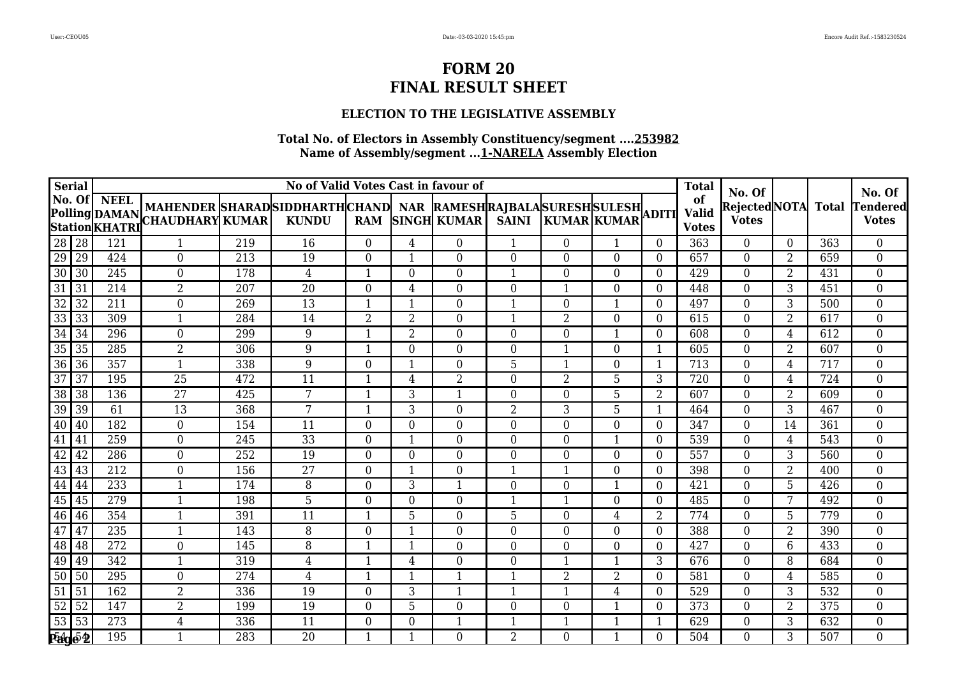### **ELECTION TO THE LEGISLATIVE ASSEMBLY**

| <b>Serial</b>   |                 |                  |                                                                                                                                                      |     | No of Valid Votes Cast in favour of |                |                |                         |                  |                          |                |                | <b>Total</b>                       |                                              |                 |     |                                           |
|-----------------|-----------------|------------------|------------------------------------------------------------------------------------------------------------------------------------------------------|-----|-------------------------------------|----------------|----------------|-------------------------|------------------|--------------------------|----------------|----------------|------------------------------------|----------------------------------------------|-----------------|-----|-------------------------------------------|
| No. Of          |                 | <b>NEEL</b>      | MAHENDER  SHARAD  SIDDHARTH  CHAND   NAR  RAMESH  RAJBALA  SURESH  SULESH  ADITI <br>Polling DAMAN MARENDER SHARAD<br>Station KHATRI CHAUDHARY KUMAR |     | <b>KUNDU</b>                        | <b>RAM</b>     |                | <b>SINGH KUMAR</b>      | <b>SAINI</b>     | KUMAR KUMAR              |                |                | of<br><b>Valid</b><br><b>Votes</b> | No. Of<br>RejectedNOTA Total<br><b>Votes</b> |                 |     | No. Of<br><b>Tendered</b><br><b>Votes</b> |
| 28 28           |                 | 121              | $\mathbf{1}$                                                                                                                                         | 219 | 16                                  | $\Omega$       | 4              | $\overline{0}$          | $\mathbf 1$      | $\Omega$                 | $\mathbf{1}$   | $\Omega$       | 363                                | $\overline{0}$                               | $\overline{0}$  | 363 | $\overline{0}$                            |
| 29              | 29              | 424              | $\overline{0}$                                                                                                                                       | 213 | 19                                  | $\Omega$       |                | $\theta$                | $\overline{0}$   | $\Omega$                 | $\Omega$       | 0              | 657                                | $\theta$                                     | $\overline{2}$  | 659 | $\boldsymbol{0}$                          |
| $\overline{30}$ | 30              | 245              | $\overline{0}$                                                                                                                                       | 178 | $\overline{4}$                      | $\mathbf{1}$   | $\overline{0}$ | $\overline{0}$          | $\mathbf{1}$     | $\theta$                 | $\overline{0}$ | $\overline{0}$ | 429                                | $\mathbf{0}$                                 | $\overline{2}$  | 431 | $\overline{0}$                            |
| 31              | 31              | 214              | $\overline{2}$                                                                                                                                       | 207 | 20                                  | $\theta$       | 4              | $\boldsymbol{0}$        | $\boldsymbol{0}$ | $\mathbf 1$              | $\mathbf{0}$   | $\overline{0}$ | 448                                | $\overline{0}$                               | 3               | 451 | $\boldsymbol{0}$                          |
| 32              | 32              | 211              | $\overline{0}$                                                                                                                                       | 269 | 13                                  | $\mathbf 1$    | $\mathbf{1}$   | $\boldsymbol{0}$        | $\mathbf{1}$     | $\overline{0}$           | $\mathbf{1}$   | $\overline{0}$ | 497                                | $\overline{0}$                               | 3               | 500 | $\overline{0}$                            |
| $\overline{33}$ | 33              | 309              | $\mathbf{1}$                                                                                                                                         | 284 | 14                                  | $\overline{2}$ | $\overline{2}$ | $\overline{0}$          | $\mathbf 1$      | $\overline{2}$           | $\Omega$       | $\Omega$       | 615                                | $\overline{0}$                               | $\overline{2}$  | 617 | $\overline{0}$                            |
| $\overline{34}$ | 34              | 296              | $\overline{0}$                                                                                                                                       | 299 | 9                                   |                | $\overline{2}$ | $\overline{0}$          | $\overline{0}$   | $\Omega$                 |                | 0              | 608                                | $\mathbf{0}$                                 | 4               | 612 | $\overline{0}$                            |
| $\overline{35}$ | 35              | 285              | $\overline{2}$                                                                                                                                       | 306 | 9                                   | $\mathbf 1$    | $\Omega$       | $\overline{0}$          | $\boldsymbol{0}$ | 1                        | $\overline{0}$ |                | 605                                | $\overline{0}$                               | $\overline{2}$  | 607 | $\overline{0}$                            |
| 36              | 36              | 357              | $\mathbf{1}$                                                                                                                                         | 338 | 9                                   | $\theta$       | $\mathbf{1}$   | $\boldsymbol{0}$        | 5                | $\mathbf 1$              | $\mathbf{0}$   | $\mathbf{1}$   | 713                                | $\boldsymbol{0}$                             | $\overline{4}$  | 717 | $\overline{0}$                            |
| 37              | 37              | 195              | 25                                                                                                                                                   | 472 | 11                                  | $\mathbf 1$    | 4              | $\overline{2}$          | $\mathbf{0}$     | 2                        | 5              | 3              | 720                                | $\overline{0}$                               | 4               | 724 | $\overline{0}$                            |
| $\overline{38}$ | 38              | 136              | $\overline{27}$                                                                                                                                      | 425 | 7                                   | -1             | 3              | $\mathbf{1}$            | $\overline{0}$   | $\Omega$                 | 5              | $\overline{2}$ | 607                                | $\overline{0}$                               | $\overline{2}$  | 609 | $\overline{0}$                            |
| 39              | 39              | 61               | 13                                                                                                                                                   | 368 | 7                                   |                | 3              | $\mathbf{0}$            | $\overline{2}$   | 3                        | 5              |                | 464                                | $\mathbf{0}$                                 | 3               | 467 | $\overline{0}$                            |
| 40              | 40              | 182              | $\mathbf{0}$                                                                                                                                         | 154 | $\overline{11}$                     | $\Omega$       | $\overline{0}$ | $\overline{0}$          | $\boldsymbol{0}$ | $\Omega$                 | $\overline{0}$ | $\overline{0}$ | 347                                | $\overline{0}$                               | $\overline{14}$ | 361 | $\overline{0}$                            |
| 41              | 41              | 259              | $\overline{0}$                                                                                                                                       | 245 | 33                                  | $\theta$       | $\mathbf{1}$   | $\boldsymbol{0}$        | $\boldsymbol{0}$ | $\overline{0}$           | 1              | $\overline{0}$ | 539                                | $\overline{0}$                               | $\overline{4}$  | 543 | $\boldsymbol{0}$                          |
| 42              | 42              | 286              | $\overline{0}$                                                                                                                                       | 252 | 19                                  | $\Omega$       | $\Omega$       | $\overline{0}$          | $\overline{0}$   | $\Omega$                 | $\Omega$       | $\Omega$       | 557                                | $\overline{0}$                               | $\overline{3}$  | 560 | $\overline{0}$                            |
| 43              | 43              | 212              | $\overline{0}$                                                                                                                                       | 156 | 27                                  | $\Omega$       | -1             | $\mathbf{0}$            | $\mathbf{1}$     | 1                        | $\Omega$       | $\Omega$       | 398                                | $\overline{0}$                               | $\overline{2}$  | 400 | $\overline{0}$                            |
| 44              | 44              | 233              | $\mathbf 1$                                                                                                                                          | 174 | 8                                   | $\Omega$       | 3              | $\mathbf{1}$            | $\boldsymbol{0}$ | $\Omega$                 | 1              | 0              | 421                                | $\overline{0}$                               | 5               | 426 | $\overline{0}$                            |
| 45              | 45              | 279              | $\mathbf{1}$                                                                                                                                         | 198 | 5                                   | $\Omega$       | $\overline{0}$ | $\overline{0}$          | $\mathbf{1}$     | $\mathbf 1$              | $\overline{0}$ | $\overline{0}$ | 485                                | $\boldsymbol{0}$                             | 7               | 492 | $\overline{0}$                            |
| 46              | 46              | 354              | $\mathbf{1}$                                                                                                                                         | 391 | 11                                  |                | 5              | $\boldsymbol{0}$        | 5                | $\Omega$                 | 4              | 2              | 774                                | $\overline{0}$                               | 5               | 779 | $\overline{0}$                            |
| 47              | 47              | 235              | $\mathbf{1}$                                                                                                                                         | 143 | 8                                   | $\Omega$       |                | $\overline{0}$          | $\overline{0}$   | $\Omega$                 | $\Omega$       | $\Omega$       | 388                                | $\overline{0}$                               | $\overline{2}$  | 390 | $\overline{0}$                            |
| 48              | <sup>148</sup>  | 272              | 0                                                                                                                                                    | 145 | 8                                   |                |                | $\Omega$                | $\Omega$         | $\Omega$                 | $\Omega$       | $\Omega$       | 427                                | $\overline{0}$                               | 6               | 433 | $\overline{0}$                            |
| 49              | 49              | 342              | $\overline{1}$                                                                                                                                       | 319 | $\overline{4}$                      | $\mathbf 1$    | $\overline{4}$ | $\overline{0}$          | $\boldsymbol{0}$ | $\overline{\phantom{a}}$ | $\mathbf{1}$   | 3              | 676                                | $\mathbf{0}$                                 | 8               | 684 | $\overline{0}$                            |
| 50              | 50              | 295              | $\overline{0}$                                                                                                                                       | 274 | $\overline{4}$                      | $\mathbf{1}$   | $\mathbf{1}$   | $\overline{\mathbf{1}}$ | $\mathbf{1}$     | $\overline{2}$           | $\overline{2}$ | $\overline{0}$ | 581                                | $\mathbf{0}$                                 | $\overline{4}$  | 585 | $\overline{0}$                            |
| 51              | l 51            | 162              | $\overline{2}$                                                                                                                                       | 336 | 19                                  | $\Omega$       | 3              | $\mathbf{1}$            | $\mathbf{1}$     | $\mathbf 1$              | $\overline{4}$ | $\Omega$       | 529                                | $\overline{0}$                               | 3               | 532 | $\overline{0}$                            |
| 52              | $\overline{52}$ | 147              | $\overline{2}$                                                                                                                                       | 199 | 19                                  | $\Omega$       | 5              | $\overline{0}$          | $\overline{0}$   | $\Omega$                 | -1             | $\Omega$       | 373                                | $\overline{0}$                               | $\overline{2}$  | 375 | $\overline{0}$                            |
| $\overline{53}$ | $\overline{53}$ | $\overline{273}$ | 4                                                                                                                                                    | 336 | $\overline{11}$                     | $\Omega$       | $\Omega$       | $\overline{1}$          | 1                |                          |                |                | 629                                | $\mathbf{0}$                                 | 3               | 632 | $\overline{0}$                            |
| <b>Page 2</b>   |                 | 195              | $\mathbf{1}$                                                                                                                                         | 283 | 20                                  |                |                | $\overline{0}$          | $\overline{2}$   | $\Omega$                 | $\mathbf{1}$   | 0              | 504                                | $\overline{0}$                               | 3               | 507 | $\overline{0}$                            |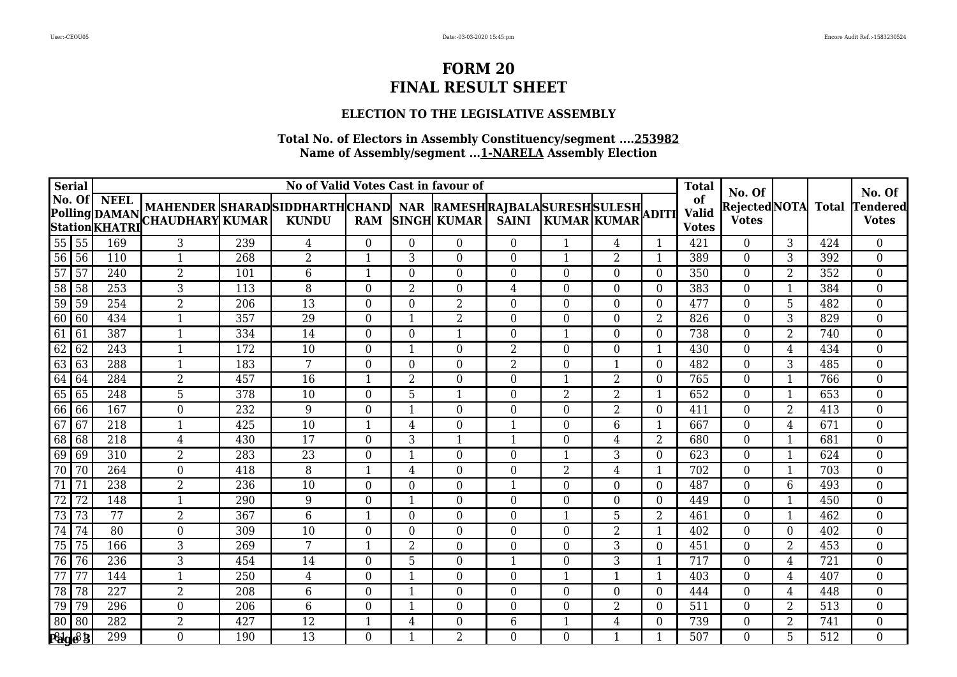### **ELECTION TO THE LEGISLATIVE ASSEMBLY**

|                 | <b>Serial</b>   |                  |                                                                                                                                                                             |     | No of Valid Votes Cast in favour of |                |                |                         |                  |                |                |                | <b>Total</b>                       |                                              |                |     |                                      |
|-----------------|-----------------|------------------|-----------------------------------------------------------------------------------------------------------------------------------------------------------------------------|-----|-------------------------------------|----------------|----------------|-------------------------|------------------|----------------|----------------|----------------|------------------------------------|----------------------------------------------|----------------|-----|--------------------------------------|
|                 |                 | No. Of NEEL      | MAHENDER SHARAD SIDDHARTH CHAND  NAR  RAMESH RAJBALA SURESH SULESH <br> CHAUDHARY KUMAR   KUNDU   RAM  SINGH  KUMAR   SAINI   KUMAR KUMAR <br>Polling DAMAN MAHENDER SHANAD |     |                                     |                |                |                         |                  |                |                |                | of<br><b>Valid</b><br><b>Votes</b> | No. Of<br>RejectedNOTA Total<br><b>Votes</b> |                |     | No. Of<br> Tendered <br><b>Votes</b> |
|                 | 55 55           | 169              | 3                                                                                                                                                                           | 239 | 4                                   | $\Omega$       | $\Omega$       | $\Omega$                | $\overline{0}$   | $\mathbf{1}$   | $\overline{4}$ | $\mathbf{1}$   | 421                                | $\overline{0}$                               | 3              | 424 | 0                                    |
|                 | 56 56           | 110              | 1                                                                                                                                                                           | 268 | 2                                   | -1             | 3              | $\Omega$                | $\overline{0}$   | -1             | 2              | -1             | 389                                | $\Omega$                                     | 3              | 392 | $\overline{0}$                       |
| $\overline{57}$ | $\overline{57}$ | 240              | $\overline{2}$                                                                                                                                                              | 101 | 6                                   | $\mathbf{1}$   | $\Omega$       | $\overline{0}$          | $\boldsymbol{0}$ | $\Omega$       | $\Omega$       | $\Omega$       | 350                                | $\overline{0}$                               | $\overline{2}$ | 352 | $\boldsymbol{0}$                     |
| 58              | $\sqrt{58}$     | 253              | 3                                                                                                                                                                           | 113 | 8                                   | $\theta$       | $\overline{2}$ | $\boldsymbol{0}$        | $\overline{4}$   | $\overline{0}$ | $\overline{0}$ | $\Omega$       | 383                                | $\boldsymbol{0}$                             | $\mathbf{1}$   | 384 | 0                                    |
|                 | 59 59           | 254              | $\overline{2}$                                                                                                                                                              | 206 | 13                                  | $\Omega$       | $\Omega$       | 2                       | $\boldsymbol{0}$ | $\Omega$       | $\overline{0}$ | $\Omega$       | 477                                | $\overline{0}$                               | 5              | 482 | $\overline{0}$                       |
| 60 60           |                 | 434              | $\mathbf{1}$                                                                                                                                                                | 357 | $\overline{29}$                     | $\theta$       |                | $\overline{2}$          | $\Omega$         | $\Omega$       | $\Omega$       | $\overline{2}$ | 826                                | $\Omega$                                     | $\overline{3}$ | 829 | $\overline{0}$                       |
| 61              | 61              | 387              | 1                                                                                                                                                                           | 334 | 14                                  | $\Omega$       | $\Omega$       | $\mathbf{1}$            | $\boldsymbol{0}$ | 1              | $\Omega$       | $\Omega$       | 738                                | $\overline{0}$                               | $\overline{2}$ | 740 | 0                                    |
| 62              | 62              | 243              | $\mathbf{1}$                                                                                                                                                                | 172 | 10                                  | $\theta$       | $\mathbf{1}$   | $\overline{0}$          | $\overline{2}$   | $\Omega$       | $\mathbf{0}$   | $\mathbf{1}$   | 430                                | $\overline{0}$                               | $\overline{4}$ | 434 | $\boldsymbol{0}$                     |
| 63              | 63              | 288              | $\mathbf{1}$                                                                                                                                                                | 183 | 7                                   | $\Omega$       | $\Omega$       | $\overline{0}$          | $\overline{2}$   | $\theta$       | 1              | $\Omega$       | 482                                | $\mathbf{0}$                                 | 3              | 485 | 0                                    |
| 64              | 64              | 284              | $\overline{2}$                                                                                                                                                              | 457 | 16                                  | $\mathbf{1}$   | $\overline{2}$ | 0                       | $\overline{0}$   | $\mathbf 1$    | $\overline{2}$ | $\Omega$       | 765                                | $\overline{0}$                               | 1              | 766 | $\overline{0}$                       |
|                 | 65 65           | 248              | $\overline{5}$                                                                                                                                                              | 378 | $\overline{10}$                     | $\theta$       | 5              | $\mathbf{1}$            | $\overline{0}$   | $\overline{2}$ | $\overline{2}$ | $\mathbf 1$    | 652                                | $\overline{0}$                               | $\mathbf{1}$   | 653 | $\overline{0}$                       |
|                 | 66 66           | 167              | $\boldsymbol{0}$                                                                                                                                                            | 232 | 9                                   | $\Omega$       |                | $\overline{0}$          | $\boldsymbol{0}$ | $\Omega$       | $\overline{2}$ | $\Omega$       | 411                                | $\overline{0}$                               | $\overline{2}$ | 413 | 0                                    |
| 67              | 67              | $\overline{218}$ | $\mathbf{1}$                                                                                                                                                                | 425 | $\overline{10}$                     | $\mathbf{1}$   | 4              | $\overline{0}$          | $\mathbf{1}$     | $\Omega$       | 6              | $\mathbf{1}$   | 667                                | $\overline{0}$                               | $\overline{4}$ | 671 | $\overline{0}$                       |
| 68              | $\sqrt{68}$     | 218              | 4                                                                                                                                                                           | 430 | 17                                  | $\Omega$       | 3              | $\overline{\mathbf{1}}$ | 1                | $\theta$       | 4              | 2              | 680                                | $\overline{0}$                               | 1              | 681 | $\overline{0}$                       |
|                 | 69 69           | 310              | $\overline{2}$                                                                                                                                                              | 283 | $\overline{23}$                     | $\overline{0}$ | $\mathbf{1}$   | $\boldsymbol{0}$        | $\boldsymbol{0}$ | $\mathbf 1$    | $\overline{3}$ | $\overline{0}$ | 623                                | $\mathbf{0}$                                 | $\mathbf{1}$   | 624 | $\overline{0}$                       |
| 70              | 70              | 264              | $\overline{0}$                                                                                                                                                              | 418 | 8                                   | $\mathbf 1$    | 4              | $\overline{0}$          | $\overline{0}$   | $\overline{2}$ | $\overline{4}$ | $\mathbf 1$    | 702                                | $\overline{0}$                               | $\mathbf{1}$   | 703 | 0                                    |
| 71              | 71              | 238              | $\overline{2}$                                                                                                                                                              | 236 | 10                                  | $\Omega$       | $\Omega$       | $\Omega$                | $\mathbf{1}$     | $\Omega$       | $\Omega$       | $\Omega$       | 487                                | $\overline{0}$                               | 6              | 493 | 0                                    |
| $\overline{72}$ | 72              | 148              | $\mathbf{1}$                                                                                                                                                                | 290 | 9                                   | $\overline{0}$ | -1             | $\overline{0}$          | $\overline{0}$   | $\Omega$       | $\overline{0}$ | $\Omega$       | 449                                | $\overline{0}$                               | $\mathbf{1}$   | 450 | 0                                    |
| 73              | 73              | 77               | $\overline{2}$                                                                                                                                                              | 367 | $6\overline{6}$                     | $\mathbf{1}$   | $\overline{0}$ | $\boldsymbol{0}$        | $\boldsymbol{0}$ | $\mathbf 1$    | $\overline{5}$ | $\overline{2}$ | 461                                | $\boldsymbol{0}$                             | $\mathbf{1}$   | 462 | $\overline{0}$                       |
| 74              | 74              | $\overline{80}$  | $\overline{0}$                                                                                                                                                              | 309 | 10                                  | $\Omega$       | $\Omega$       | $\overline{0}$          | $\overline{0}$   | $\Omega$       | $\overline{2}$ |                | 402                                | $\mathbf{0}$                                 | $\overline{0}$ | 402 | $\overline{0}$                       |
| 75              | 75              | 166              | 3                                                                                                                                                                           | 269 | 7                                   | -1             | $\overline{2}$ | $\overline{0}$          | $\boldsymbol{0}$ | $\Omega$       | 3              | $\Omega$       | 451                                | $\overline{0}$                               | $\overline{2}$ | 453 | 0                                    |
| 76              | 76              | $\overline{236}$ | 3                                                                                                                                                                           | 454 | 14                                  | $\Omega$       | 5              | $\overline{0}$          | $\mathbf{1}$     | $\Omega$       | 3              |                | 717                                | $\overline{0}$                               | $\overline{4}$ | 721 | 0                                    |
| $\overline{77}$ | 77              | 144              | $\mathbf{1}$                                                                                                                                                                | 250 | $\overline{4}$                      | $\overline{0}$ | $\mathbf{1}$   | $\overline{0}$          | $\boldsymbol{0}$ | $\mathbf{1}$   | $\mathbf{1}$   | $\mathbf{1}$   | 403                                | $\mathbf{0}$                                 | $\overline{4}$ | 407 | $\overline{0}$                       |
| 78              | 78              | 227              | $\overline{2}$                                                                                                                                                              | 208 | $6\,$                               | $\Omega$       | $\mathbf{1}$   | $\boldsymbol{0}$        | $\mathbf{0}$     | $\theta$       | $\theta$       | $\Omega$       | 444                                | $\mathbf{0}$                                 | $\overline{4}$ | 448 | 0                                    |
|                 | 79 79           | 296              | $\overline{0}$                                                                                                                                                              | 206 | $6\phantom{1}$                      | $\Omega$       |                | 0                       | $\overline{0}$   | $\Omega$       | 2              | $\Omega$       | 511                                | $\overline{0}$                               | $\overline{2}$ | 513 | $\overline{0}$                       |
| 80 80           |                 | 282              | $\overline{2}$                                                                                                                                                              | 427 | $\overline{12}$                     | $\mathbf 1$    | 4              | $\overline{0}$          | $\overline{6}$   |                | $\overline{4}$ | $\Omega$       | 739                                | $\boldsymbol{0}$                             | $\overline{2}$ | 741 | 0                                    |
|                 | Page 3          | 299              | $\overline{0}$                                                                                                                                                              | 190 | 13                                  | $\overline{0}$ |                | $\overline{2}$          | $\overline{0}$   | $\Omega$       | $\mathbf{1}$   |                | 507                                | $\overline{0}$                               | 5              | 512 | $\overline{0}$                       |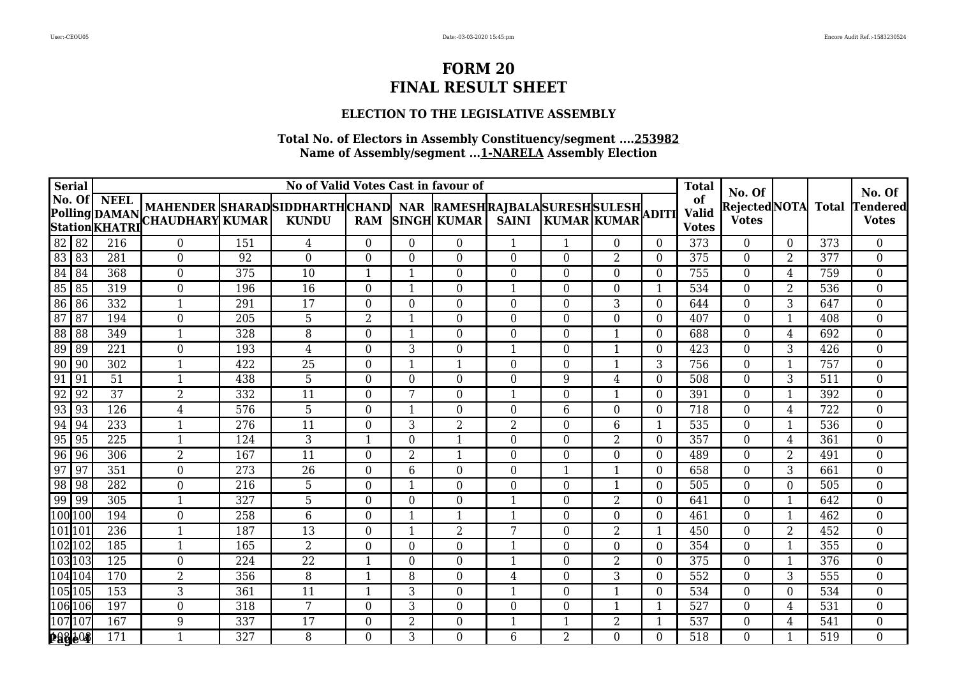### **ELECTION TO THE LEGISLATIVE ASSEMBLY**

| <b>Serial</b>   |                 |                  |                                                                                              |     | No of Valid Votes Cast in favour of |                |                |                         |                  |                    |                |                | <b>Total</b>                       |                                              |                |     |                                      |
|-----------------|-----------------|------------------|----------------------------------------------------------------------------------------------|-----|-------------------------------------|----------------|----------------|-------------------------|------------------|--------------------|----------------|----------------|------------------------------------|----------------------------------------------|----------------|-----|--------------------------------------|
|                 |                 | No. Of NEEL      | MAHENDER SHARADSIDDHARTHCHAND NAR RAMESHRAJBALASURESHSULESH<br>Polling DAMAN MAHENDER SHARAD |     | <b>KUNDU</b>                        | <b>RAM</b>     |                | <b>SINGH KUMAR</b>      | <b>SAINI</b>     | <b>KUMAR KUMAR</b> |                |                | of<br><b>Valid</b><br><b>Votes</b> | No. Of<br>RejectedNOTA Total<br><b>Votes</b> |                |     | No. Of<br> Tendered <br><b>Votes</b> |
| $82$ 82         |                 | 216              | $\overline{0}$                                                                               | 151 | 4                                   | $\Omega$       | $\Omega$       | $\Omega$                | $\mathbf{1}$     | $\mathbf{1}$       | $\Omega$       | $\Omega$       | 373                                | $\overline{0}$                               | $\overline{0}$ | 373 | 0                                    |
| 83 83           |                 | 281              | $\overline{0}$                                                                               | 92  | $\overline{0}$                      | $\Omega$       | $\Omega$       | $\Omega$                | $\overline{0}$   | $\Omega$           | 2              | $\Omega$       | 375                                | $\Omega$                                     | 2              | 377 | $\overline{0}$                       |
| 84 84           |                 | 368              | $\overline{0}$                                                                               | 375 | 10                                  | $\mathbf{1}$   | $\mathbf 1$    | $\overline{0}$          | $\boldsymbol{0}$ | $\Omega$           | $\Omega$       | $\Omega$       | 755                                | $\overline{0}$                               | $\overline{4}$ | 759 | $\boldsymbol{0}$                     |
| 85 85           |                 | 319              | $\mathbf{0}$                                                                                 | 196 | 16                                  | $\overline{0}$ | 1              | $\boldsymbol{0}$        | $\mathbf{1}$     | $\theta$           | $\overline{0}$ |                | 534                                | $\mathbf{0}$                                 | $\overline{2}$ | 536 | 0                                    |
| 86 86           |                 | 332              | $\mathbf{1}$                                                                                 | 291 | 17                                  | $\Omega$       | $\Omega$       | $\overline{0}$          | $\boldsymbol{0}$ | $\Omega$           | 3              | $\Omega$       | 644                                | $\mathbf{0}$                                 | 3              | 647 | $\overline{0}$                       |
| $\overline{87}$ | $\overline{87}$ | 194              | $\overline{0}$                                                                               | 205 | $\overline{5}$                      | $\overline{2}$ |                | $\overline{0}$          | $\Omega$         | $\Omega$           | $\Omega$       | $\Omega$       | 407                                | $\Omega$                                     | $\mathbf{1}$   | 408 | $\overline{0}$                       |
| $\overline{88}$ | 88              | 349              | 1                                                                                            | 328 | 8                                   | $\Omega$       | -1             | $\overline{0}$          | $\boldsymbol{0}$ | $\Omega$           | $\mathbf{1}$   | $\Omega$       | 688                                | $\overline{0}$                               | $\overline{4}$ | 692 | 0                                    |
| 89              | $\sqrt{89}$     | 221              | $\overline{0}$                                                                               | 193 | $\overline{4}$                      | $\theta$       | 3              | $\overline{0}$          | $\mathbf{1}$     | $\Omega$           | $\mathbf{1}$   | $\Omega$       | 423                                | $\overline{0}$                               | 3              | 426 | $\boldsymbol{0}$                     |
| 90              | $\sqrt{90}$     | 302              | $\mathbf{1}$                                                                                 | 422 | 25                                  | $\Omega$       | 1              | $\mathbf{1}$            | $\mathbf{0}$     | $\theta$           | 1              | 3              | 756                                | $\mathbf{0}$                                 | $\mathbf{1}$   | 757 | 0                                    |
| 91              | $\vert$ 91      | 51               | $\mathbf{1}$                                                                                 | 438 | 5                                   | $\Omega$       | $\Omega$       | $\overline{0}$          | $\boldsymbol{0}$ | 9                  | $\overline{4}$ | $\Omega$       | 508                                | $\mathbf{0}$                                 | 3              | 511 | $\overline{0}$                       |
| 92              | $\sqrt{92}$     | $\overline{37}$  | $\overline{2}$                                                                               | 332 | $\overline{11}$                     | $\theta$       | $\overline{7}$ | $\overline{0}$          | $\mathbf{1}$     | $\Omega$           | $\mathbf{1}$   | $\Omega$       | 391                                | $\overline{0}$                               | 1              | 392 | $\overline{0}$                       |
| 93              | $\vert$ 93      | 126              | 4                                                                                            | 576 | 5                                   | $\Omega$       |                | $\overline{0}$          | $\boldsymbol{0}$ | 6                  | $\overline{0}$ | $\Omega$       | 718                                | $\overline{0}$                               | $\overline{4}$ | 722 | 0                                    |
| 94              | $\sqrt{94}$     | 233              | $\mathbf{1}$                                                                                 | 276 | $\overline{11}$                     | $\Omega$       | 3              | $\overline{2}$          | $\overline{2}$   | $\Omega$           | 6              | $\mathbf{1}$   | 535                                | $\overline{0}$                               | $\mathbf{1}$   | 536 | $\overline{0}$                       |
| 95              | $\sqrt{95}$     | 225              | $\mathbf{1}$                                                                                 | 124 | 3                                   | $\mathbf{1}$   | $\Omega$       | $\overline{\mathbf{1}}$ | $\mathbf{0}$     | $\Omega$           | 2              | $\Omega$       | 357                                | $\overline{0}$                               | $\overline{4}$ | 361 | $\overline{0}$                       |
| $96$ 96         |                 | 306              | $\overline{2}$                                                                               | 167 | $\overline{11}$                     | $\overline{0}$ | $\overline{2}$ | $\mathbf{1}$            | $\boldsymbol{0}$ | $\overline{0}$     | $\overline{0}$ | $\Omega$       | 489                                | $\mathbf{0}$                                 | $\overline{2}$ | 491 | $\overline{0}$                       |
| 97              | $\frac{197}{2}$ | 351              | $\overline{0}$                                                                               | 273 | 26                                  | $\Omega$       | 6              | 0                       | $\overline{0}$   | 1                  | $\mathbf{1}$   | $\Omega$       | 658                                | $\overline{0}$                               | 3              | 661 | 0                                    |
| 98              | $\sqrt{98}$     | 282              | $\overline{0}$                                                                               | 216 | 5                                   | $\Omega$       | $\mathbf 1$    | $\Omega$                | $\boldsymbol{0}$ | $\Omega$           | $\mathbf{1}$   | $\Omega$       | 505                                | $\overline{0}$                               | $\Omega$       | 505 | 0                                    |
| 99 99           |                 | 305              | $\mathbf{1}$                                                                                 | 327 | 5                                   | $\overline{0}$ | $\theta$       | $\overline{0}$          | $\mathbf{1}$     | $\Omega$           | 2              | $\Omega$       | 641                                | $\overline{0}$                               | $\mathbf{1}$   | 642 | 0                                    |
| 100 100         |                 | 194              | $\overline{0}$                                                                               | 258 | $6\overline{6}$                     | $\theta$       | $\mathbf 1$    | $\mathbf{1}$            | $\mathbf{1}$     | $\overline{0}$     | $\overline{0}$ | $\overline{0}$ | 461                                | $\boldsymbol{0}$                             | $\mathbf{1}$   | 462 | $\overline{0}$                       |
| 101 101         |                 | 236              | 1                                                                                            | 187 | 13                                  | $\Omega$       | $\mathbf 1$    | $\overline{2}$          | 7                | $\Omega$           | $\overline{2}$ |                | 450                                | $\boldsymbol{0}$                             | $\overline{2}$ | 452 | $\overline{0}$                       |
| 102102          |                 | 185              | $\mathbf{1}$                                                                                 | 165 | $\overline{2}$                      | $\Omega$       | $\Omega$       | $\overline{0}$          | $\mathbf 1$      | $\Omega$           | $\Omega$       | $\Omega$       | 354                                | $\overline{0}$                               | $\mathbf 1$    | 355 | 0                                    |
| 103103          |                 | $\overline{125}$ | $\overline{0}$                                                                               | 224 | $\overline{22}$                     | $\mathbf{1}$   | $\Omega$       | $\overline{0}$          | $\mathbf{1}$     | $\Omega$           | 2              | $\Omega$       | 375                                | $\overline{0}$                               | $\mathbf{1}$   | 376 | 0                                    |
| 104 104         |                 | 170              | $\overline{2}$                                                                               | 356 | 8                                   | $\mathbf{1}$   | 8              | $\overline{0}$          | $\overline{4}$   | $\overline{0}$     | 3              | $\overline{0}$ | 552                                | $\mathbf{0}$                                 | 3              | 555 | $\overline{0}$                       |
| 105105          |                 | 153              | 3                                                                                            | 361 | 11                                  | $\mathbf{1}$   | 3              | $\boldsymbol{0}$        | 1                | $\theta$           | 1              | $\Omega$       | 534                                | $\mathbf{0}$                                 | $\mathbf{0}$   | 534 | 0                                    |
| 106 106         |                 | 197              | $\overline{0}$                                                                               | 318 | 7                                   | $\Omega$       | 3              | 0                       | $\overline{0}$   | 0                  | -1             |                | 527                                | $\overline{0}$                               | $\overline{4}$ | 531 | $\overline{0}$                       |
| 107 107         |                 | 167              | 9                                                                                            | 337 | 17                                  | $\Omega$       | $\overline{2}$ | $\overline{0}$          | 1                |                    | $\overline{2}$ |                | 537                                | $\boldsymbol{0}$                             | $\overline{4}$ | 541 | 0                                    |
| 18804           |                 | 171              | $\mathbf{1}$                                                                                 | 327 | 8                                   | $\overline{0}$ | 3              | 0                       | 6                | $\overline{2}$     | $\overline{0}$ | $\Omega$       | 518                                | $\overline{0}$                               | 1              | 519 | $\overline{0}$                       |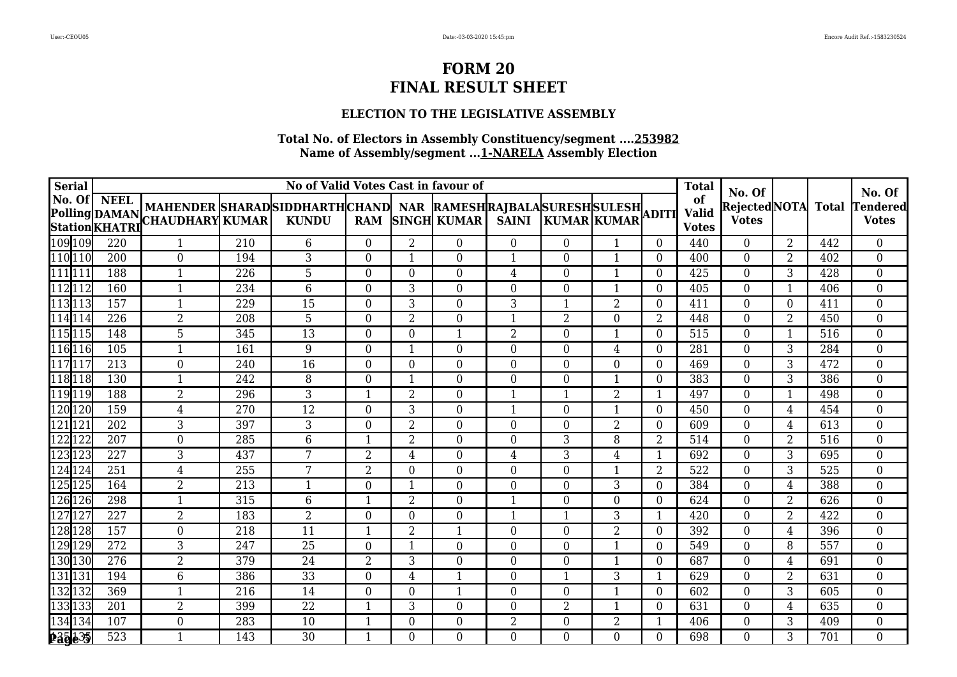### **ELECTION TO THE LEGISLATIVE ASSEMBLY**

| <b>Serial</b>        |                  |                                                                                                                                                                                                                                 |     | No of Valid Votes Cast in favour of |                |                |                  |                  |                |                |                | <b>Total</b>       |                              |                |     | No. Of           |
|----------------------|------------------|---------------------------------------------------------------------------------------------------------------------------------------------------------------------------------------------------------------------------------|-----|-------------------------------------|----------------|----------------|------------------|------------------|----------------|----------------|----------------|--------------------|------------------------------|----------------|-----|------------------|
|                      |                  |                                                                                                                                                                                                                                 |     |                                     |                |                |                  |                  |                |                |                | of<br><b>Valid</b> | No. Of<br>RejectedNOTA Total |                |     | <b>Tendered</b>  |
|                      |                  | NO. UL   NEEL  MAHENDER  SHARAD  SIDDHARTH  CHAND   NAR  RAMESH  RAJBALA  SURESH  SULESH <br> Polling  DAMAN  CHAUDHARY  KUMAR   KUNDU    RAM  SINGH  KUMAR   SAINI   KUMAR  KUMAR  ADITI<br> Station  KHATRI  CHAUDHARY  KUMAR |     |                                     |                |                |                  |                  |                |                |                | <b>Votes</b>       | <b>Votes</b>                 |                |     | <b>Votes</b>     |
| 109 109              | 220              | $\mathbf{1}$                                                                                                                                                                                                                    | 210 | 6                                   | $\Omega$       | $\overline{2}$ | $\theta$         | $\overline{0}$   | $\Omega$       |                | $\Omega$       | 440                | $\overline{0}$               | $\overline{2}$ | 442 | $\overline{0}$   |
| 110 10               | 200              | $\Omega$                                                                                                                                                                                                                        | 194 | 3                                   | $\Omega$       |                | $\theta$         |                  | 0              |                | $\Omega$       | 400                | $\overline{0}$               | $\overline{2}$ | 402 | $\overline{0}$   |
| 111 111              | 188              | 1                                                                                                                                                                                                                               | 226 | 5                                   | $\Omega$       | $\Omega$       | $\overline{0}$   | $\overline{4}$   | $\Omega$       |                | $\overline{0}$ | 425                | $\overline{0}$               | 3              | 428 | $\boldsymbol{0}$ |
| 112 112              | 160              | $\mathbf{1}$                                                                                                                                                                                                                    | 234 | $6\,$                               | $\theta$       | 3              | $\mathbf{0}$     | $\overline{0}$   | $\overline{0}$ | -1             | $\Omega$       | 405                | $\overline{0}$               | $\mathbf{1}$   | 406 | $\boldsymbol{0}$ |
| $\overline{113}$ 113 | 157              | $\mathbf{1}$                                                                                                                                                                                                                    | 229 | 15                                  | $\theta$       | 3              | $\boldsymbol{0}$ | 3                |                | $\overline{2}$ | $\overline{0}$ | 411                | $\boldsymbol{0}$             | $\overline{0}$ | 411 | $\overline{0}$   |
| 114 114              | 226              | $\overline{2}$                                                                                                                                                                                                                  | 208 | $\overline{5}$                      | $\Omega$       | $\overline{2}$ | $\overline{0}$   | $\mathbf{1}$     | 2              | $\Omega$       | 2              | 448                | $\boldsymbol{0}$             | 2              | 450 | $\overline{0}$   |
| 115 115              | 148              | 5                                                                                                                                                                                                                               | 345 | 13                                  | $\Omega$       | $\Omega$       | 1                | 2                | 0              |                | $\Omega$       | 515                | $\boldsymbol{0}$             | $\mathbf 1$    | 516 | $\boldsymbol{0}$ |
| 116 116              | 105              | 1                                                                                                                                                                                                                               | 161 | $\overline{9}$                      | $\Omega$       | $\mathbf{1}$   | $\overline{0}$   | $\boldsymbol{0}$ | $\Omega$       | $\overline{4}$ | $\overline{0}$ | 281                | $\overline{0}$               | $\overline{3}$ | 284 | $\boldsymbol{0}$ |
| 117 117              | 213              | $\overline{0}$                                                                                                                                                                                                                  | 240 | 16                                  | $\mathbf{0}$   | $\overline{0}$ | $\boldsymbol{0}$ | $\boldsymbol{0}$ | $\overline{0}$ | $\overline{0}$ | $\Omega$       | 469                | $\overline{0}$               | 3              | 472 | $\overline{0}$   |
| 118118               | 130              | 1                                                                                                                                                                                                                               | 242 | 8                                   | $\theta$       | 1              | $\boldsymbol{0}$ | $\overline{0}$   | $\Omega$       | $\mathbf{1}$   | $\overline{0}$ | 383                | $\boldsymbol{0}$             | 3              | 386 | $\overline{0}$   |
| 119 119              | 188              | $\overline{2}$                                                                                                                                                                                                                  | 296 | 3                                   | $\mathbf 1$    | 2              | $\overline{0}$   | $\mathbf{1}$     |                | $\overline{2}$ | 1              | 497                | $\boldsymbol{0}$             | $\mathbf{1}$   | 498 | 0                |
| 120 120              | 159              | $\overline{4}$                                                                                                                                                                                                                  | 270 | $\overline{12}$                     | $\Omega$       | 3              | $\overline{0}$   | $\mathbf{1}$     | $\Omega$       | $\mathbf 1$    | $\Omega$       | 450                | $\overline{0}$               | $\overline{4}$ | 454 | $\overline{0}$   |
| 121 121              | 202              | 3                                                                                                                                                                                                                               | 397 | 3                                   | $\mathbf{0}$   | $\overline{2}$ | $\overline{0}$   | $\overline{0}$   | $\Omega$       | $\overline{2}$ | $\overline{0}$ | 609                | $\boldsymbol{0}$             | 4              | 613 | $\overline{0}$   |
| 122 122              | 207              | $\overline{0}$                                                                                                                                                                                                                  | 285 | $6\phantom{.}6$                     | $\mathbf 1$    | $\overline{2}$ | $\boldsymbol{0}$ | $\overline{0}$   | 3              | 8              | 2              | 514                | $\overline{0}$               | $\overline{2}$ | 516 | $\overline{0}$   |
| 123 123              | 227              | 3                                                                                                                                                                                                                               | 437 | $7\overline{ }$                     | $\overline{2}$ | 4              | $\overline{0}$   | $\overline{4}$   | 3              | 4              | 1              | 692                | $\overline{0}$               | $\overline{3}$ | 695 | $\overline{0}$   |
| 124 124              | 251              | 4                                                                                                                                                                                                                               | 255 | 7                                   | $\overline{2}$ | $\Omega$       | $\overline{0}$   | 0                | $\Omega$       | 1              | 2              | 522                | $\overline{0}$               | 3              | 525 | 0                |
| 125 125              | 164              | $\overline{2}$                                                                                                                                                                                                                  | 213 | $\mathbf 1$                         | $\Omega$       | $\mathbf{1}$   | $\overline{0}$   | $\boldsymbol{0}$ | $\Omega$       | 3              | $\Omega$       | 384                | $\overline{0}$               | $\overline{4}$ | 388 | $\boldsymbol{0}$ |
| 126 126              | 298              | 1                                                                                                                                                                                                                               | 315 | $6\phantom{1}6$                     | $\mathbf 1$    | $\overline{2}$ | $\overline{0}$   | $\mathbf{1}$     | $\Omega$       | $\overline{0}$ | $\overline{0}$ | 624                | $\boldsymbol{0}$             | $\overline{2}$ | 626 | $\boldsymbol{0}$ |
| 127 127              | 227              | $\overline{2}$                                                                                                                                                                                                                  | 183 | $\overline{2}$                      | $\theta$       | $\Omega$       | $\boldsymbol{0}$ | $\mathbf{1}$     |                | 3              | 1              | 420                | $\overline{0}$               | $\overline{2}$ | 422 | $\overline{0}$   |
| 128 128              | 157              | $\overline{0}$                                                                                                                                                                                                                  | 218 | $\overline{11}$                     | -1             | 2              | 1                | $\overline{0}$   | $\Omega$       | $\overline{2}$ | $\Omega$       | 392                | $\overline{0}$               | $\overline{4}$ | 396 | $\boldsymbol{0}$ |
| 129 129              | 272              | 3                                                                                                                                                                                                                               | 247 | 25                                  | $\Omega$       |                | $\overline{0}$   | 0                | $\Omega$       |                | $\Omega$       | 549                | $\boldsymbol{0}$             | 8              | 557 | 0                |
| 130 130              | $\overline{276}$ | $\overline{2}$                                                                                                                                                                                                                  | 379 | $\overline{24}$                     | $\overline{2}$ | 3              | $\boldsymbol{0}$ | $\boldsymbol{0}$ | $\Omega$       | 1              | $\Omega$       | 687                | $\overline{0}$               | 4              | 691 | $\boldsymbol{0}$ |
| 131 131              | 194              | 6                                                                                                                                                                                                                               | 386 | 33                                  | $\Omega$       | $\overline{4}$ | $\mathbf{1}$     | $\boldsymbol{0}$ | 1              | 3              | 1              | 629                | $\overline{0}$               | $\overline{2}$ | 631 | $\overline{0}$   |
| 132 132              | 369              | 1                                                                                                                                                                                                                               | 216 | 14                                  | $\Omega$       | $\theta$       | $\mathbf{1}$     | $\overline{0}$   | $\Omega$       | 1              | $\overline{0}$ | 602                | $\overline{0}$               | 3              | 605 | $\overline{0}$   |
| 133 133              | 201              | $\overline{2}$                                                                                                                                                                                                                  | 399 | 22                                  |                | 3              | $\overline{0}$   | $\overline{0}$   | 2              |                | $\Omega$       | 631                | $\overline{0}$               | $\overline{4}$ | 635 | $\overline{0}$   |
| 134 134              | 107              | $\mathbf{0}$                                                                                                                                                                                                                    | 283 | 10                                  |                | $\theta$       | $\overline{0}$   | $\overline{2}$   | $\Omega$       | $\overline{2}$ | 1              | 406                | $\overline{0}$               | 3              | 409 | $\boldsymbol{0}$ |
| 235 435              | 523              | 1                                                                                                                                                                                                                               | 143 | 30                                  |                | $\Omega$       | $\overline{0}$   | $\overline{0}$   | $\Omega$       | $\overline{0}$ | $\Omega$       | 698                | $\overline{0}$               | 3              | 701 | $\overline{0}$   |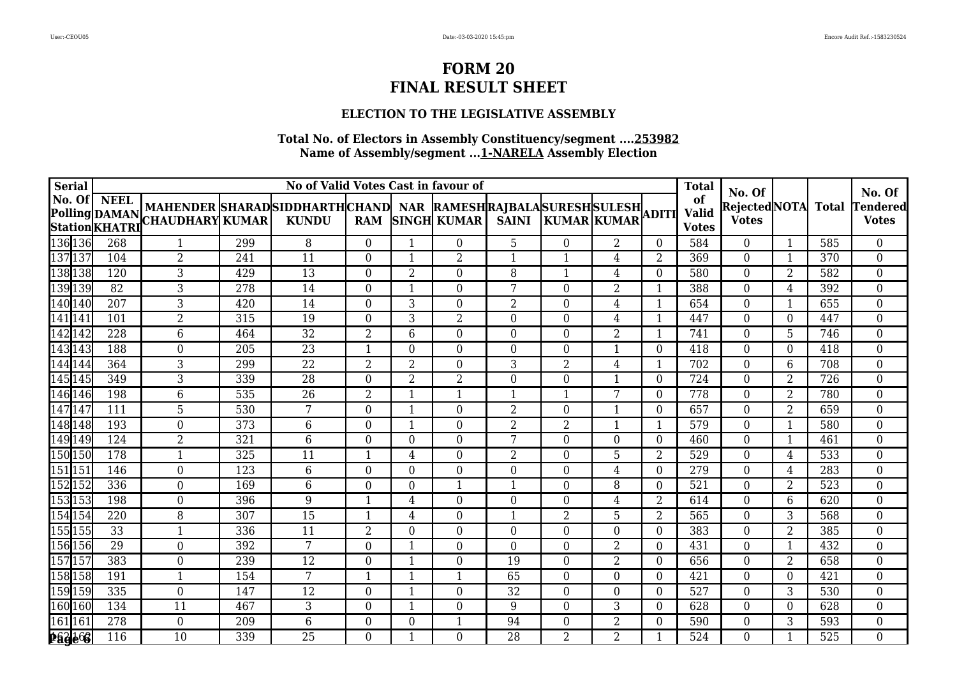### **ELECTION TO THE LEGISLATIVE ASSEMBLY**

| <b>Serial</b>          |                 |                                                                                                                                                                                                                                 |     | No of Valid Votes Cast in favour of |                |                |                  |                  |                |                |                | <b>Total</b>                 |                              |                |     | No. Of           |
|------------------------|-----------------|---------------------------------------------------------------------------------------------------------------------------------------------------------------------------------------------------------------------------------|-----|-------------------------------------|----------------|----------------|------------------|------------------|----------------|----------------|----------------|------------------------------|------------------------------|----------------|-----|------------------|
|                        |                 |                                                                                                                                                                                                                                 |     |                                     |                |                |                  |                  |                |                |                | of                           | No. Of<br>RejectedNOTA Total |                |     | <b>Tendered</b>  |
|                        |                 | NO. UL   NEEL  MAHENDER  SHARAD  SIDDHARTH  CHAND   NAR  RAMESH  RAJBALA  SURESH  SULESH <br> Polling  DAMAN  CHAUDHARY  KUMAR   KUNDU    RAM  SINGH  KUMAR   SAINI   KUMAR  KUMAR  ADITI<br> Station  KHATRI  CHAUDHARY  KUMAR |     |                                     |                |                |                  |                  |                |                |                | <b>Valid</b><br><b>Votes</b> | <b>Votes</b>                 |                |     | <b>Votes</b>     |
| 136 136                | 268             | $\mathbf{1}$                                                                                                                                                                                                                    | 299 | 8                                   | $\Omega$       | $\mathbf{1}$   | $\overline{0}$   | 5                | $\Omega$       | $\overline{2}$ | $\Omega$       | 584                          | $\overline{0}$               | $\mathbf{1}$   | 585 | $\overline{0}$   |
| 137 137                | 104             | $\overline{2}$                                                                                                                                                                                                                  | 241 | 11                                  | $\Omega$       |                | $\overline{2}$   | 1                |                | 4              | 2              | 369                          | $\boldsymbol{0}$             | $\mathbf{1}$   | 370 | $\overline{0}$   |
| 138 138                | 120             | 3                                                                                                                                                                                                                               | 429 | $\overline{13}$                     | $\Omega$       | $\overline{2}$ | $\overline{0}$   | 8                |                | $\overline{4}$ | $\overline{0}$ | 580                          | $\overline{0}$               | $\overline{2}$ | 582 | $\boldsymbol{0}$ |
| 139139                 | 82              | 3                                                                                                                                                                                                                               | 278 | 14                                  | $\mathbf{0}$   | $\mathbf{1}$   | $\overline{0}$   | 7                | $\Omega$       | $\overline{2}$ | $\mathbf{1}$   | 388                          | $\overline{0}$               | 4              | 392 | $\boldsymbol{0}$ |
| $\sqrt{140}$ 140       | 207             | 3                                                                                                                                                                                                                               | 420 | 14                                  | $\mathbf{0}$   | 3              | $\boldsymbol{0}$ | 2                | $\Omega$       | $\overline{4}$ | $\mathbf{1}$   | 654                          | $\boldsymbol{0}$             | $\mathbf{1}$   | 655 | $\overline{0}$   |
| $\overline{141}$ $141$ | 101             | $\overline{2}$                                                                                                                                                                                                                  | 315 | 19                                  | $\Omega$       | 3              | $\overline{2}$   | 0                | $\Omega$       | 4              | $\mathbf{1}$   | 447                          | $\boldsymbol{0}$             | $\overline{0}$ | 447 | $\overline{0}$   |
| 142 142                | 228             | 6                                                                                                                                                                                                                               | 464 | $\overline{32}$                     | $\overline{2}$ | 6              | $\theta$         | $\boldsymbol{0}$ | 0              | $\overline{2}$ |                | 741                          | $\overline{0}$               | 5              | 746 | 0                |
| 143 143                | 188             | $\boldsymbol{0}$                                                                                                                                                                                                                | 205 | $\overline{23}$                     |                | $\overline{0}$ | $\overline{0}$   | $\overline{0}$   | $\Omega$       | $\mathbf{1}$   | $\overline{0}$ | 418                          | $\boldsymbol{0}$             | $\overline{0}$ | 418 | $\boldsymbol{0}$ |
| 144 144                | 364             | 3                                                                                                                                                                                                                               | 299 | 22                                  | $\overline{2}$ | $\overline{2}$ | $\boldsymbol{0}$ | 3                | 2              | $\overline{4}$ | 1              | 702                          | $\overline{0}$               | 6              | 708 | $\overline{0}$   |
| 145 145                | 349             | 3                                                                                                                                                                                                                               | 339 | 28                                  | $\Omega$       | $\overline{2}$ | $\overline{2}$   | $\boldsymbol{0}$ | $\Omega$       | $\mathbf{1}$   | $\theta$       | 724                          | $\boldsymbol{0}$             | $\overline{2}$ | 726 | $\overline{0}$   |
| $146$ 146              | 198             | 6                                                                                                                                                                                                                               | 535 | 26                                  | $\overline{2}$ | $\mathbf{1}$   | $\mathbf{1}$     | $\mathbf{1}$     |                | 7              | $\Omega$       | 778                          | $\boldsymbol{0}$             | 2              | 780 | 0                |
| $\sqrt{147}$ 147       | 111             | 5                                                                                                                                                                                                                               | 530 | 7                                   | $\Omega$       | $\mathbf{1}$   | $\overline{0}$   | 2                | $\Omega$       | $\mathbf 1$    | $\Omega$       | 657                          | $\overline{0}$               | 2              | 659 | $\overline{0}$   |
| 148 148                | 193             | $\boldsymbol{0}$                                                                                                                                                                                                                | 373 | $6\phantom{1}6$                     | $\mathbf{0}$   | $\mathbf{1}$   | $\overline{0}$   | $\overline{2}$   | $\overline{2}$ | $\mathbf{1}$   | 1              | 579                          | $\boldsymbol{0}$             | $\mathbf{1}$   | 580 | $\overline{0}$   |
| 149 149                | 124             | $\overline{2}$                                                                                                                                                                                                                  | 321 | $6\phantom{.}6$                     | $\overline{0}$ | $\overline{0}$ | $\boldsymbol{0}$ | 7                | $\overline{0}$ | $\overline{0}$ | $\overline{0}$ | 460                          | $\overline{0}$               | $\mathbf{1}$   | 461 | $\overline{0}$   |
| 150 150                | 178             | 1                                                                                                                                                                                                                               | 325 | 11                                  | -1             | 4              | $\overline{0}$   | 2                | 0              | 5              | 2              | 529                          | $\overline{0}$               | $\overline{4}$ | 533 | $\overline{0}$   |
| 151 151                | 146             | $\overline{0}$                                                                                                                                                                                                                  | 123 | $6\phantom{1}6$                     | $\Omega$       | $\Omega$       | $\overline{0}$   | 0                | $\Omega$       | 4              | $\Omega$       | 279                          | $\overline{0}$               | 4              | 283 | 0                |
| 152 152                | 336             | $\boldsymbol{0}$                                                                                                                                                                                                                | 169 | $6\phantom{1}6$                     | $\Omega$       | $\Omega$       | $\mathbf{1}$     | $\mathbf{1}$     | $\Omega$       | 8              | $\Omega$       | 521                          | $\overline{0}$               | $\overline{2}$ | 523 | $\boldsymbol{0}$ |
| 153153                 | 198             | $\boldsymbol{0}$                                                                                                                                                                                                                | 396 | 9                                   | $\mathbf 1$    | $\overline{4}$ | $\overline{0}$   | $\boldsymbol{0}$ | $\Omega$       | $\overline{4}$ | 2              | 614                          | $\boldsymbol{0}$             | 6              | 620 | $\overline{0}$   |
| 154 154                | 220             | 8                                                                                                                                                                                                                               | 307 | 15                                  | -1             | 4              | $\boldsymbol{0}$ | $\mathbf{1}$     | 2              | 5              | 2              | 565                          | $\overline{0}$               | 3              | 568 | $\overline{0}$   |
| 155 155                | $\overline{33}$ | 1                                                                                                                                                                                                                               | 336 | 11                                  | $\overline{2}$ | $\Omega$       | $\overline{0}$   | $\overline{0}$   | 0              | $\Omega$       | $\Omega$       | 383                          | $\overline{0}$               | $\overline{2}$ | 385 | $\boldsymbol{0}$ |
| 156 156                | 29              | $\mathbf{0}$                                                                                                                                                                                                                    | 392 | 7                                   | $\Omega$       |                | $\overline{0}$   | $\overline{0}$   | $\Omega$       | $\overline{2}$ | $\Omega$       | 431                          | $\boldsymbol{0}$             | $\mathbf{1}$   | 432 | 0                |
| 157 157                | 383             | $\boldsymbol{0}$                                                                                                                                                                                                                | 239 | $\overline{12}$                     | $\theta$       | $\mathbf{1}$   | $\boldsymbol{0}$ | $\overline{19}$  | $\Omega$       | $\overline{2}$ | $\Omega$       | 656                          | $\boldsymbol{0}$             | $\overline{2}$ | 658 | $\boldsymbol{0}$ |
| 158 158                | 191             | $\mathbf{1}$                                                                                                                                                                                                                    | 154 | 7                                   | $\mathbf 1$    | $\mathbf{1}$   | $\mathbf{1}$     | 65               | $\Omega$       | $\overline{0}$ | $\overline{0}$ | 421                          | $\overline{0}$               | $\overline{0}$ | 421 | $\overline{0}$   |
| 159 159                | 335             | $\overline{0}$                                                                                                                                                                                                                  | 147 | 12                                  | $\mathbf{0}$   | 1              | $\mathbf{0}$     | 32               | $\Omega$       | $\theta$       | 0              | 527                          | $\overline{0}$               | 3              | 530 | $\overline{0}$   |
| 160 160                | 134             | 11                                                                                                                                                                                                                              | 467 | $\mathbf{3}$                        | $\Omega$       | $\mathbf 1$    | $\overline{0}$   | 9                | $\Omega$       | 3              | $\Omega$       | 628                          | $\overline{0}$               | $\Omega$       | 628 | $\overline{0}$   |
| 161 161                | 278             | $\boldsymbol{0}$                                                                                                                                                                                                                | 209 | $6\overline{6}$                     | $\Omega$       | $\theta$       | $\mathbf{1}$     | 94               | 0              | $\overline{2}$ | $\Omega$       | 590                          | $\overline{0}$               | 3              | 593 | 0                |
| 263366                 | 116             | 10                                                                                                                                                                                                                              | 339 | 25                                  | $\Omega$       | $\mathbf{1}$   | $\overline{0}$   | 28               | $\overline{2}$ | $\overline{2}$ |                | 524                          | $\overline{0}$               | $\mathbf{1}$   | 525 | $\overline{0}$   |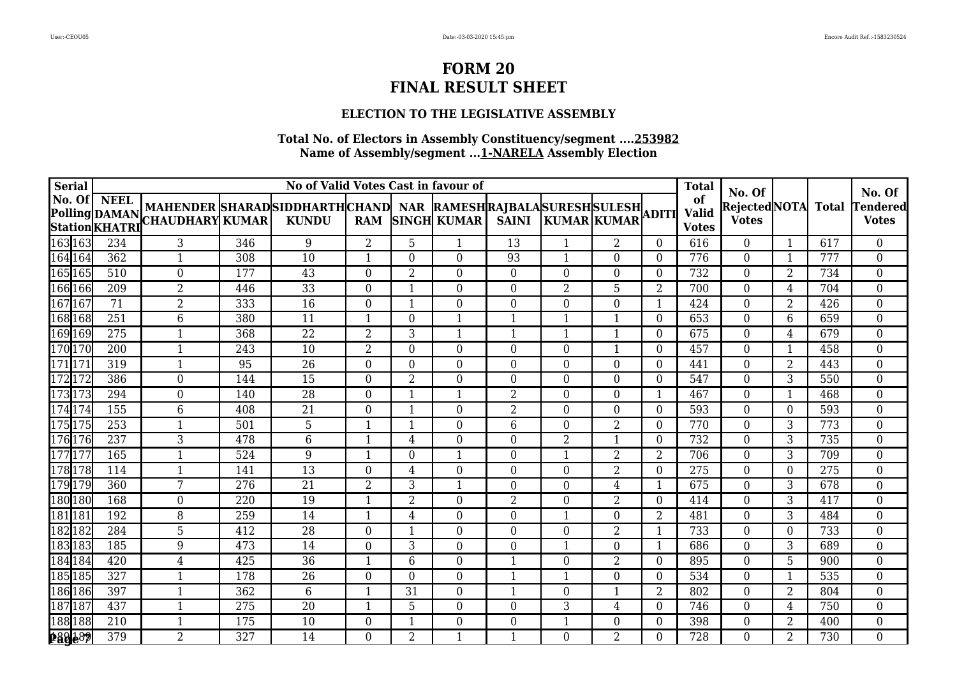### **ELECTION TO THE LEGISLATIVE ASSEMBLY**

| <b>Serial</b> |     |                                                                                                                                                                                                                                 |     | No of Valid Votes Cast in favour of |                |                |                  |                  |                |                |                | <b>Total</b>       |                              |                |     |                           |
|---------------|-----|---------------------------------------------------------------------------------------------------------------------------------------------------------------------------------------------------------------------------------|-----|-------------------------------------|----------------|----------------|------------------|------------------|----------------|----------------|----------------|--------------------|------------------------------|----------------|-----|---------------------------|
|               |     |                                                                                                                                                                                                                                 |     |                                     |                |                |                  |                  |                |                |                | of<br><b>Valid</b> | No. Of<br>RejectedNOTA Total |                |     | No. Of<br><b>Tendered</b> |
|               |     | NO. UL   NEEL  MAHENDER  SHARAD  SIDDHARTH  CHAND   NAR  RAMESH  RAJBALA  SURESH  SULESH <br> Polling  DAMAN  CHAUDHARY  KUMAR   KUNDU    RAM  SINGH  KUMAR   SAINI   KUMAR  KUMAR  ADITI<br> Station  KHATRI  CHAUDHARY  KUMAR |     |                                     |                |                |                  |                  |                |                |                | <b>Votes</b>       | <b>Votes</b>                 |                |     | <b>Votes</b>              |
| 163 163       | 234 | 3                                                                                                                                                                                                                               | 346 | 9                                   | 2              | 5              | $\mathbf{1}$     | $\overline{13}$  |                | $\overline{2}$ | $\Omega$       | 616                | $\overline{0}$               | $\mathbf{1}$   | 617 | $\overline{0}$            |
| 164 164       | 362 | 1                                                                                                                                                                                                                               | 308 | 10                                  |                | $\Omega$       | $\overline{0}$   | 93               |                | $\Omega$       | $\Omega$       | 776                | $\boldsymbol{0}$             | $\mathbf{1}$   | 777 | $\overline{0}$            |
| 165 165       | 510 | $\overline{0}$                                                                                                                                                                                                                  | 177 | 43                                  | $\Omega$       | $\overline{2}$ | $\overline{0}$   | $\overline{0}$   | $\Omega$       | $\overline{0}$ | $\theta$       | 732                | $\overline{0}$               | $\overline{2}$ | 734 | $\boldsymbol{0}$          |
| 166 166       | 209 | $\overline{2}$                                                                                                                                                                                                                  | 446 | 33                                  | $\mathbf{0}$   | $\mathbf{1}$   | $\mathbf{0}$     | $\boldsymbol{0}$ | 2              | 5              | 2              | 700                | $\overline{0}$               | 4              | 704 | $\overline{0}$            |
| 167167        | 71  | $\overline{2}$                                                                                                                                                                                                                  | 333 | 16                                  | $\mathbf{0}$   | $\mathbf{1}$   | $\boldsymbol{0}$ | $\boldsymbol{0}$ | $\Omega$       | $\overline{0}$ | $\mathbf{1}$   | 424                | $\boldsymbol{0}$             | $\overline{2}$ | 426 | $\overline{0}$            |
| 168 168       | 251 | 6                                                                                                                                                                                                                               | 380 | $\overline{11}$                     | -1             | $\Omega$       | $\mathbf{1}$     | $\mathbf{1}$     |                | -1             | $\Omega$       | 653                | $\boldsymbol{0}$             | 6              | 659 | $\overline{0}$            |
| 169 169       | 275 |                                                                                                                                                                                                                                 | 368 | 22                                  | $\overline{2}$ | 3              | $\mathbf 1$      | 1                |                |                | 0              | 675                | $\boldsymbol{0}$             | 4              | 679 | 0                         |
| 170 170       | 200 | 1                                                                                                                                                                                                                               | 243 | 10                                  | $\overline{2}$ | $\overline{0}$ | $\overline{0}$   | $\boldsymbol{0}$ | $\Omega$       | $\mathbf{1}$   | $\overline{0}$ | 457                | $\overline{0}$               | $\mathbf{1}$   | 458 | $\boldsymbol{0}$          |
| 171171        | 319 | $\mathbf{1}$                                                                                                                                                                                                                    | 95  | 26                                  | $\mathbf{0}$   | $\Omega$       | $\boldsymbol{0}$ | $\boldsymbol{0}$ | $\overline{0}$ | $\overline{0}$ | $\overline{0}$ | 441                | $\overline{0}$               | $\overline{2}$ | 443 | $\overline{0}$            |
| 172172        | 386 | $\overline{0}$                                                                                                                                                                                                                  | 144 | 15                                  | $\Omega$       | 2              | $\boldsymbol{0}$ | $\overline{0}$   | $\Omega$       | $\theta$       | $\theta$       | 547                | $\boldsymbol{0}$             | 3              | 550 | $\overline{0}$            |
| 173173        | 294 | $\overline{0}$                                                                                                                                                                                                                  | 140 | 28                                  | $\Omega$       | $\mathbf{1}$   | $\mathbf{1}$     | 2                | $\Omega$       | $\Omega$       | $\mathbf{1}$   | 467                | $\boldsymbol{0}$             | $\mathbf{1}$   | 468 | 0                         |
| 174174        | 155 | 6                                                                                                                                                                                                                               | 408 | $\overline{21}$                     | $\Omega$       | $\mathbf{1}$   | $\overline{0}$   | $\overline{2}$   | $\Omega$       | $\Omega$       | $\Omega$       | 593                | $\overline{0}$               | 0              | 593 | $\overline{0}$            |
| 175 175       | 253 | 1                                                                                                                                                                                                                               | 501 | 5                                   | $\mathbf 1$    | $\mathbf{1}$   | $\overline{0}$   | 6                | $\Omega$       | $\overline{2}$ | $\overline{0}$ | 770                | $\boldsymbol{0}$             | 3              | 773 | $\overline{0}$            |
| 176 176       | 237 | 3                                                                                                                                                                                                                               | 478 | $6\,$                               | $\mathbf 1$    | $\overline{4}$ | $\boldsymbol{0}$ | $\overline{0}$   | 2              | $\mathbf{1}$   | $\overline{0}$ | 732                | $\boldsymbol{0}$             | 3              | 735 | $\overline{0}$            |
| 177 177       | 165 | 1                                                                                                                                                                                                                               | 524 | 9                                   | -1             | $\Omega$       | 1                | $\overline{0}$   |                | $\overline{2}$ | 2              | 706                | $\overline{0}$               | $\overline{3}$ | 709 | $\overline{0}$            |
| 178178        | 114 | 1                                                                                                                                                                                                                               | 141 | 13                                  | $\Omega$       | 4              | $\overline{0}$   | 0                | $\Omega$       | $\overline{2}$ | $\Omega$       | 275                | $\boldsymbol{0}$             | 0              | 275 | 0                         |
| 179179        | 360 | 7                                                                                                                                                                                                                               | 276 | $\overline{21}$                     | $\overline{2}$ | 3              | $\overline{1}$   | $\boldsymbol{0}$ | $\Omega$       | $\overline{4}$ | $\mathbf{1}$   | 675                | $\overline{0}$               | 3              | 678 | $\boldsymbol{0}$          |
| 180 180       | 168 | $\boldsymbol{0}$                                                                                                                                                                                                                | 220 | 19                                  | $\mathbf 1$    | $\overline{2}$ | $\overline{0}$   | $\overline{2}$   | $\Omega$       | $\overline{2}$ | $\overline{0}$ | 414                | $\boldsymbol{0}$             | 3              | 417 | $\overline{0}$            |
| 181 181       | 192 | 8                                                                                                                                                                                                                               | 259 | 14                                  | -1             | 4              | $\boldsymbol{0}$ | $\overline{0}$   |                | $\Omega$       | 2              | 481                | $\overline{0}$               | 3              | 484 | $\overline{0}$            |
| 182182        | 284 | 5                                                                                                                                                                                                                               | 412 | $\overline{28}$                     | $\Omega$       | $\mathbf 1$    | $\overline{0}$   | $\overline{0}$   | 0              | $\overline{2}$ | 1              | 733                | $\overline{0}$               | $\Omega$       | 733 | $\overline{0}$            |
| 183 183       | 185 | 9                                                                                                                                                                                                                               | 473 | 14                                  | $\Omega$       | 3              | $\overline{0}$   | 0                |                | $\Omega$       | -1             | 686                | $\boldsymbol{0}$             | 3              | 689 | $\overline{0}$            |
| 184 184       | 420 | $\overline{4}$                                                                                                                                                                                                                  | 425 | $\overline{36}$                     | $\mathbf 1$    | 6              | $\boldsymbol{0}$ | $\overline{1}$   | $\Omega$       | $\overline{2}$ | $\Omega$       | 895                | $\overline{0}$               | 5              | 900 | $\boldsymbol{0}$          |
| 185 185       | 327 | $\mathbf{1}$                                                                                                                                                                                                                    | 178 | 26                                  | $\Omega$       | $\overline{0}$ | $\overline{0}$   | $\mathbf{1}$     | 1              | $\overline{0}$ | $\overline{0}$ | 534                | $\overline{0}$               | $\mathbf{1}$   | 535 | $\overline{0}$            |
| 186 186       | 397 | 1                                                                                                                                                                                                                               | 362 | $6\,$                               | -1             | 31             | $\mathbf{0}$     | $\mathbf{1}$     | $\Omega$       | 1              | 2              | 802                | $\overline{0}$               | $\overline{2}$ | 804 | $\overline{0}$            |
| 187187        | 437 | 1                                                                                                                                                                                                                               | 275 | 20                                  | -1             | 5              | $\overline{0}$   | $\overline{0}$   | 3              | 4              | $\Omega$       | 746                | $\overline{0}$               | $\overline{4}$ | 750 | $\overline{0}$            |
| 188 188       | 210 | 1                                                                                                                                                                                                                               | 175 | 10                                  | $\Omega$       |                | $\overline{0}$   | $\boldsymbol{0}$ |                | $\Omega$       | $\Omega$       | 398                | $\overline{0}$               | $\overline{2}$ | 400 | $\overline{0}$            |
| 289489        | 379 | $\overline{2}$                                                                                                                                                                                                                  | 327 | 14                                  | $\Omega$       | $\overline{2}$ | $\mathbf{1}$     | $\mathbf{1}$     | $\Omega$       | $\overline{2}$ | $\Omega$       | 728                | $\overline{0}$               | $\overline{2}$ | 730 | $\overline{0}$            |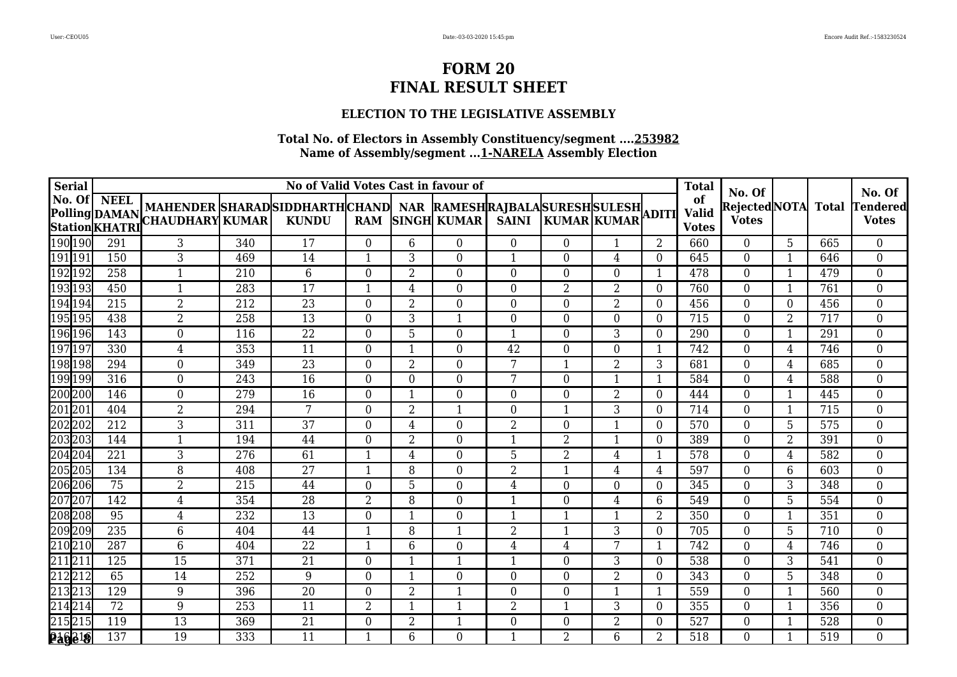### **ELECTION TO THE LEGISLATIVE ASSEMBLY**

| <b>Serial</b>      |                 |                                                                 |     | No of Valid Votes Cast in favour of |                |                |                    |                  |                    |                |                | <b>Total</b>       |                              |                         |     |                    |
|--------------------|-----------------|-----------------------------------------------------------------|-----|-------------------------------------|----------------|----------------|--------------------|------------------|--------------------|----------------|----------------|--------------------|------------------------------|-------------------------|-----|--------------------|
|                    | No. Of NEEL     | MAHENDER SHARADSIDDHARTHCHAND NAR RAMESHRAJBALASURESHSULESH     |     |                                     |                |                |                    |                  |                    |                |                | of<br><b>Valid</b> | No. Of<br>RejectedNOTA Total |                         |     | No. Of<br>Tendered |
|                    |                 | Polling DAMAN MAHENDER SHARAD<br>Station KHATRI CHAUDHARY KUMAR |     | <b>KUNDU</b>                        | <b>RAM</b>     |                | <b>SINGH KUMAR</b> | <b>SAINI</b>     | <b>KUMAR KUMAR</b> |                |                | <b>Votes</b>       | <b>Votes</b>                 |                         |     | <b>Votes</b>       |
| 190 190            | 291             | 3                                                               | 340 | 17                                  | $\Omega$       | 6              | $\overline{0}$     | $\overline{0}$   | $\Omega$           |                | 2              | 660                | $\overline{0}$               | $\overline{5}$          | 665 | $\overline{0}$     |
| 191 191            | 150             | 3                                                               | 469 | 14                                  |                | 3              | $\theta$           | 1                | 0                  | 4              | $\Omega$       | 645                | $\mathbf{0}$                 | -1                      | 646 | $\overline{0}$     |
| 192 192            | 258             | 1                                                               | 210 | $6\phantom{1}6$                     | $\Omega$       | $\overline{2}$ | $\overline{0}$     | 0                | $\Omega$           | $\theta$       | 1              | 478                | $\overline{0}$               | $\mathbf{1}$            | 479 | $\boldsymbol{0}$   |
| 193 193            | 450             | $\mathbf{1}$                                                    | 283 | 17                                  | $\mathbf 1$    | 4              | $\boldsymbol{0}$   | $\overline{0}$   | 2                  | $\overline{2}$ | $\Omega$       | 760                | $\overline{0}$               | $\mathbf{1}$            | 761 | $\boldsymbol{0}$   |
| 194 194            | 215             | $\overline{2}$                                                  | 212 | 23                                  | $\theta$       | $\overline{2}$ | $\boldsymbol{0}$   | $\overline{0}$   | $\Omega$           | 2              | $\overline{0}$ | 456                | $\boldsymbol{0}$             | $\overline{0}$          | 456 | $\overline{0}$     |
| 195 195            | 438             | $\overline{2}$                                                  | 258 | 13                                  | $\Omega$       | 3              | $\mathbf{1}$       | 0                | $\Omega$           | $\Omega$       | $\Omega$       | 715                | $\overline{0}$               | 2                       | 717 | $\boldsymbol{0}$   |
| 196 196            | 143             | $\theta$                                                        | 116 | 22                                  | $\Omega$       | 5              | $\theta$           | 1                | 0                  | 3              | 0              | 290                | $\overline{0}$               | $\overline{\mathbf{1}}$ | 291 | 0                  |
| 197 197            | 330             | 4                                                               | 353 | $\overline{11}$                     | $\Omega$       | $\mathbf{1}$   | $\overline{0}$     | $\overline{42}$  | $\Omega$           | $\overline{0}$ | $\mathbf{1}$   | 742                | $\overline{0}$               | 4                       | 746 | $\boldsymbol{0}$   |
| 198 198            | 294             | $\mathbf{0}$                                                    | 349 | 23                                  | $\theta$       | $\overline{2}$ | $\boldsymbol{0}$   | 7                | 1                  | $\overline{2}$ | 3              | 681                | $\overline{0}$               | 4                       | 685 | $\overline{0}$     |
| 199 199            | 316             | $\mathbf{0}$                                                    | 243 | 16                                  | $\Omega$       | $\theta$       | $\boldsymbol{0}$   | 7                | $\Omega$           | $\mathbf{1}$   | $\mathbf{1}$   | 584                | $\boldsymbol{0}$             | 4                       | 588 | $\overline{0}$     |
| 200 200<br>201 201 | 146             | $\overline{0}$                                                  | 279 | 16                                  | $\Omega$       | $\mathbf{1}$   | $\overline{0}$     | 0                | $\Omega$           | $\overline{2}$ | $\Omega$       | 444                | $\overline{0}$               | $\mathbf{1}$            | 445 | 0                  |
|                    | 404             | $\overline{2}$                                                  | 294 | 7                                   | $\Omega$       | $\overline{2}$ | $\mathbf{1}$       | 0                |                    | 3              | $\Omega$       | 714                | $\overline{0}$               | $\mathbf{1}$            | 715 | $\overline{0}$     |
| 202 202            | 212             | 3                                                               | 311 | 37                                  | $\mathbf{0}$   | $\overline{4}$ | $\boldsymbol{0}$   | $\overline{2}$   | $\Omega$           | $\mathbf{1}$   | $\overline{0}$ | 570                | $\boldsymbol{0}$             | 5                       | 575 | $\overline{0}$     |
| 203203             | 144             | $\mathbf{1}$                                                    | 194 | 44                                  | $\overline{0}$ | $\overline{2}$ | $\boldsymbol{0}$   | $\mathbf{1}$     | 2                  | $\mathbf{1}$   | $\overline{0}$ | 389                | $\overline{0}$               | 2                       | 391 | $\overline{0}$     |
| 204 204            | 221             | 3                                                               | 276 | 61                                  | -1             | 4              | $\overline{0}$     | 5                | 2                  | 4              | 1              | 578                | $\overline{0}$               | 4                       | 582 | $\overline{0}$     |
| 205205             | 134             | 8                                                               | 408 | $\overline{27}$                     | -1             | 8              | $\overline{0}$     | 2                |                    | 4              | 4              | 597                | $\boldsymbol{0}$             | 6                       | 603 | $\boldsymbol{0}$   |
| 206 206            | $\overline{75}$ | $\overline{2}$                                                  | 215 | 44                                  | $\Omega$       | 5              | $\boldsymbol{0}$   | $\overline{4}$   | $\Omega$           | $\Omega$       | $\Omega$       | 345                | $\overline{0}$               | 3                       | 348 | $\boldsymbol{0}$   |
| 207 207            | 142             | $\overline{4}$                                                  | 354 | 28                                  | $\overline{2}$ | 8              | $\overline{0}$     | $\mathbf{1}$     | $\Omega$           | $\overline{4}$ | 6              | 549                | $\boldsymbol{0}$             | 5                       | 554 | $\boldsymbol{0}$   |
| 208 208            | 95              | $\overline{4}$                                                  | 232 | 13                                  | $\theta$       | 1              | $\boldsymbol{0}$   | $\mathbf{1}$     |                    | 1              | 2              | 350                | $\overline{0}$               | $\mathbf{1}$            | 351 | $\overline{0}$     |
| 209209             | 235             | 6                                                               | 404 | 44                                  |                | 8              | $\mathbf 1$        | $\overline{2}$   |                    | 3              | $\Omega$       | 705                | $\overline{0}$               | 5                       | 710 | $\boldsymbol{0}$   |
| 210 210<br>211 211 | 287             | 6                                                               | 404 | $\overline{22}$                     |                | 6              | $\overline{0}$     | 4                | 4                  | 7              | -1             | 742                | $\overline{0}$               | 4                       | 746 | 0                  |
|                    | 125             | 15                                                              | 371 | $\overline{21}$                     | $\theta$       | $\mathbf{1}$   | $\overline{1}$     | $\mathbf{1}$     | $\Omega$           | 3              | $\Omega$       | 538                | $\overline{0}$               | 3                       | 541 | $\boldsymbol{0}$   |
| 212212             | 65              | 14                                                              | 252 | 9                                   | $\Omega$       | $\mathbf{1}$   | $\overline{0}$     | $\overline{0}$   | $\Omega$           | $\overline{2}$ | $\overline{0}$ | 343                | $\overline{0}$               | 5                       | 348 | $\overline{0}$     |
| 213 213            | 129             | 9                                                               | 396 | 20                                  | $\Omega$       | $\overline{2}$ | 1                  | $\overline{0}$   | $\Omega$           | 1              | 1              | 559                | $\overline{0}$               | $\mathbf{1}$            | 560 | $\overline{0}$     |
| 214 214            | 72              | 9                                                               | 253 | 11                                  | $\overline{2}$ | -1             | $\mathbf 1$        | 2                |                    | 3              | $\Omega$       | 355                | $\overline{0}$               | $\mathbf{1}$            | 356 | $\overline{0}$     |
| 215 215            | 119             | 13                                                              | 369 | $\overline{21}$                     | $\Omega$       | $\overline{2}$ | $\mathbf{1}$       | $\boldsymbol{0}$ | 0                  | $\overline{2}$ | $\Omega$       | 527                | $\overline{0}$               | $\overline{\mathbf{1}}$ | 528 | 0                  |
| 216218             | 137             | 19                                                              | 333 | 11                                  |                | 6              | $\overline{0}$     | $\mathbf{1}$     | 2                  | 6              | 2              | 518                | $\overline{0}$               | $\mathbf{1}$            | 519 | $\overline{0}$     |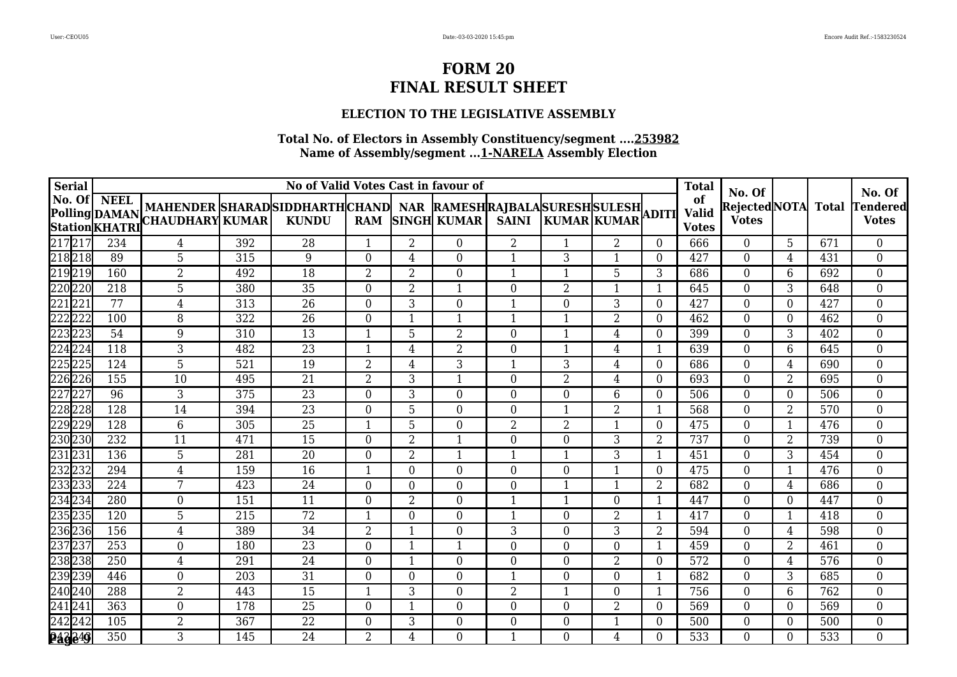### **ELECTION TO THE LEGISLATIVE ASSEMBLY**

| <b>Serial</b>                                |                  |                                                                                                                                |     | No of Valid Votes Cast in favour of |                |                |                    |                  |                    |                |                | <b>Total</b>                       |                                              |                |     |                                    |
|----------------------------------------------|------------------|--------------------------------------------------------------------------------------------------------------------------------|-----|-------------------------------------|----------------|----------------|--------------------|------------------|--------------------|----------------|----------------|------------------------------------|----------------------------------------------|----------------|-----|------------------------------------|
| No. Of                                       | NEEL             | MAHENDER SHARADSIDDHARTHCHAND NAR RAMESHRAJBALASURESHSULESH<br>Polling DAMAN MAHENDER SHARAD<br>Station KHATRI CHAUDHARY KUMAR |     | <b>KUNDU</b>                        | <b>RAM</b>     |                | <b>SINGH KUMAR</b> | <b>SAINI</b>     | <b>KUMAR KUMAR</b> |                |                | of<br><b>Valid</b><br><b>Votes</b> | No. Of<br>RejectedNOTA Total<br><b>Votes</b> |                |     | No. Of<br>Tendered<br><b>Votes</b> |
|                                              | 234              | 4                                                                                                                              | 392 | 28                                  | $\mathbf{1}$   | $\overline{2}$ | $\overline{0}$     | $\overline{2}$   |                    | $\overline{2}$ | $\Omega$       | 666                                | $\overline{0}$                               | 5              | 671 | $\overline{0}$                     |
| 217217<br>218 <sub>218</sub>                 | 89               | 5                                                                                                                              | 315 | 9                                   | $\Omega$       | 4              | $\theta$           | 1                | 3                  |                | 0              | 427                                | $\theta$                                     | 4              | 431 | $\overline{0}$                     |
| 219 219                                      | 160              | $\overline{2}$                                                                                                                 | 492 | 18                                  | $\overline{2}$ | $\overline{2}$ | $\overline{0}$     | $\mathbf{1}$     |                    | 5              | 3              | 686                                | $\overline{0}$                               | 6              | 692 | $\boldsymbol{0}$                   |
| 220 220                                      | 218              | 5                                                                                                                              | 380 | 35                                  | $\mathbf{0}$   | $\overline{2}$ | $\mathbf 1$        | $\boldsymbol{0}$ | 2                  | 1              | 1              | 645                                | $\overline{0}$                               | 3              | 648 | $\boldsymbol{0}$                   |
| 221221                                       | 77               | $\overline{4}$                                                                                                                 | 313 | 26                                  | $\mathbf{0}$   | 3              | $\boldsymbol{0}$   | $\mathbf{1}$     | $\Omega$           | 3              | $\overline{0}$ | 427                                | $\boldsymbol{0}$                             | $\overline{0}$ | 427 | $\overline{0}$                     |
| 222 <mark>222</mark><br>223 <mark>223</mark> | 100              | 8                                                                                                                              | 322 | 26                                  | $\Omega$       | -1             | $\mathbf 1$        | $\mathbf{1}$     |                    | $\overline{2}$ | $\Omega$       | 462                                | $\overline{0}$                               | $\overline{0}$ | 462 | $\overline{0}$                     |
|                                              | 54               | 9                                                                                                                              | 310 | 13                                  |                | 5              | $\overline{2}$     | $\boldsymbol{0}$ |                    | 4              | 0              | 399                                | $\theta$                                     | 3              | 402 | $\boldsymbol{0}$                   |
| 224 224                                      | 118              | 3                                                                                                                              | 482 | $\overline{23}$                     |                | $\overline{4}$ | $\overline{2}$     | $\boldsymbol{0}$ |                    | $\overline{4}$ | $\mathbf{1}$   | 639                                | $\overline{0}$                               | 6              | 645 | $\boldsymbol{0}$                   |
| 225225                                       | 124              | 5                                                                                                                              | 521 | 19                                  | $\overline{2}$ | $\overline{4}$ | 3                  | $\mathbf{1}$     | 3                  | $\overline{4}$ | $\overline{0}$ | 686                                | $\overline{0}$                               | 4              | 690 | $\boldsymbol{0}$                   |
| 226 226                                      | 155              | 10                                                                                                                             | 495 | 21                                  | $\overline{2}$ | 3              | 1                  | $\overline{0}$   | $\overline{2}$     | 4              | $\overline{0}$ | 693                                | $\boldsymbol{0}$                             | 2              | 695 | $\overline{0}$                     |
| 227227<br>228228                             | 96               | 3                                                                                                                              | 375 | 23                                  | $\Omega$       | 3              | $\overline{0}$     | 0                | $\Omega$           | 6              | $\Omega$       | 506                                | $\overline{0}$                               | 0              | 506 | $\overline{0}$                     |
|                                              | 128              | 14                                                                                                                             | 394 | $\overline{23}$                     | $\Omega$       | 5              | $\overline{0}$     | 0                |                    | 2              |                | 568                                | $\overline{0}$                               | $\overline{2}$ | 570 | $\overline{0}$                     |
| 229229                                       | 128              | 6                                                                                                                              | 305 | 25                                  |                | 5              | $\overline{0}$     | $\overline{2}$   | $\overline{2}$     | $\mathbf{1}$   | $\Omega$       | 475                                | $\boldsymbol{0}$                             | $\mathbf{1}$   | 476 | $\boldsymbol{0}$                   |
| 230 230                                      | 232              | 11                                                                                                                             | 471 | 15                                  | $\overline{0}$ | $\overline{2}$ | $\mathbf{1}$       | $\boldsymbol{0}$ | $\overline{0}$     | 3              | 2              | 737                                | $\overline{0}$                               | 2              | 739 | $\boldsymbol{0}$                   |
| 231 231                                      | 136              | 5                                                                                                                              | 281 | 20                                  | $\Omega$       | $\overline{2}$ | 1                  | $\mathbf{1}$     |                    | $\overline{3}$ | 1              | 451                                | $\overline{0}$                               | $\overline{3}$ | 454 | $\boldsymbol{0}$                   |
| 232 232<br>233 233                           | 294              | 4                                                                                                                              | 159 | 16                                  | -1             | $\Omega$       | $\overline{0}$     | 0                | $\Omega$           |                | $\Omega$       | 475                                | $\overline{0}$                               | $\mathbf{1}$   | 476 | $\overline{0}$                     |
|                                              | 224              | 7                                                                                                                              | 423 | $\overline{24}$                     | $\Omega$       | $\Omega$       | $\boldsymbol{0}$   | $\boldsymbol{0}$ |                    | 1              | $\overline{2}$ | 682                                | $\overline{0}$                               | $\overline{4}$ | 686 | $\boldsymbol{0}$                   |
| 234 234                                      | 280              | $\boldsymbol{0}$                                                                                                               | 151 | 11                                  | $\mathbf{0}$   | $\overline{2}$ | $\overline{0}$     | $\mathbf{1}$     | $\mathbf{1}$       | $\overline{0}$ | $\mathbf{1}$   | 447                                | $\boldsymbol{0}$                             | 0              | 447 | $\boldsymbol{0}$                   |
| 235 235                                      | 120              | 5                                                                                                                              | 215 | 72                                  | -1             | $\Omega$       | $\boldsymbol{0}$   | $\mathbf{1}$     | $\Omega$           | $\overline{2}$ | 1              | 417                                | $\overline{0}$                               | $\mathbf{1}$   | 418 | $\overline{0}$                     |
| 236236                                       | 156              | $\overline{4}$                                                                                                                 | 389 | $\overline{34}$                     | $\overline{2}$ | 1              | $\overline{0}$     | 3                | $\Omega$           | 3              | 2              | 594                                | $\overline{0}$                               | 4              | 598 | $\overline{0}$                     |
| 237237<br>238238                             | 253              | $\mathbf{0}$                                                                                                                   | 180 | 23                                  | $\Omega$       |                | 1                  | 0                | $\Omega$           | $\Omega$       | -1             | 459                                | $\boldsymbol{0}$                             | $\overline{2}$ | 461 | 0                                  |
|                                              | $\overline{250}$ | $\overline{4}$                                                                                                                 | 291 | $\overline{24}$                     | $\Omega$       | 1              | $\boldsymbol{0}$   | $\overline{0}$   | $\Omega$           | $\overline{2}$ | $\Omega$       | 572                                | $\overline{0}$                               | 4              | 576 | $\boldsymbol{0}$                   |
| 239239                                       | 446              | $\boldsymbol{0}$                                                                                                               | 203 | 31                                  | $\Omega$       | $\Omega$       | $\overline{0}$     | $\mathbf{1}$     | $\Omega$           | $\overline{0}$ | 1              | 682                                | $\overline{0}$                               | 3              | 685 | $\overline{0}$                     |
| 240 240                                      | 288              | $\overline{2}$                                                                                                                 | 443 | 15                                  | -1             | 3              | $\mathbf{0}$       | 2                |                    | $\theta$       | 1              | 756                                | $\overline{0}$                               | 6              | 762 | $\overline{0}$                     |
| 241 241                                      | 363              | $\overline{0}$                                                                                                                 | 178 | 25                                  | $\Omega$       | -1             | $\overline{0}$     | $\overline{0}$   | $\Omega$           | $\overline{2}$ | $\Omega$       | 569                                | $\overline{0}$                               | $\Omega$       | 569 | $\overline{0}$                     |
| 242242                                       | 105              | $\overline{2}$                                                                                                                 | 367 | $\overline{22}$                     | $\Omega$       | 3              | $\overline{0}$     | $\boldsymbol{0}$ | 0                  |                | $\Omega$       | 500                                | $\boldsymbol{0}$                             | 0              | 500 | 0                                  |
| 243249                                       | 350              | 3                                                                                                                              | 145 | 24                                  | $\overline{2}$ | 4              | $\overline{0}$     | $\mathbf{1}$     | $\Omega$           | 4              | $\theta$       | 533                                | $\overline{0}$                               | 0              | 533 | $\overline{0}$                     |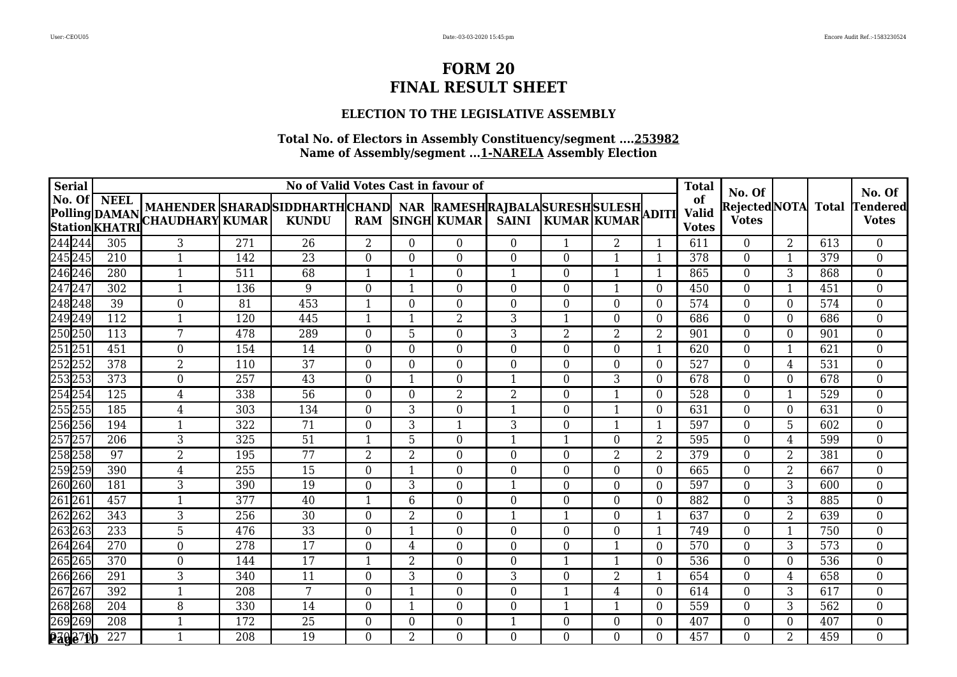### **ELECTION TO THE LEGISLATIVE ASSEMBLY**

| <b>Serial</b>      |                  |                                                                                                                           |     | No of Valid Votes Cast in favour of |                |                |                  |                  |          |                |                  | <b>Total</b>                       |                                              |                |     |                                                         |
|--------------------|------------------|---------------------------------------------------------------------------------------------------------------------------|-----|-------------------------------------|----------------|----------------|------------------|------------------|----------|----------------|------------------|------------------------------------|----------------------------------------------|----------------|-----|---------------------------------------------------------|
|                    |                  | NAU. UN NEEL MAHENDER SHARAD SIDDHARTH CHAND NAR RAMESH RAJBALA SURESH SULESH ADITI STATIONAL SHARALA SURESH SULESH ADITI |     |                                     |                |                |                  |                  |          |                |                  | of<br><b>Valid</b><br><b>Votes</b> | No. Of<br>RejectedNOTA Total<br><b>Votes</b> |                |     | No. Of<br><b><i><u>Fendered</u></i></b><br><b>Votes</b> |
| 244 244<br>245 245 | 305              | 3                                                                                                                         | 271 | 26                                  | 2              | $\overline{0}$ | $\overline{0}$   | $\overline{0}$   |          | $\overline{2}$ |                  | 611                                | $\mathbf{0}$                                 | $\overline{2}$ | 613 | $\overline{0}$                                          |
|                    | 210              | 1                                                                                                                         | 142 | 23                                  | $\Omega$       | $\Omega$       | $\overline{0}$   | 0                | $\Omega$ | -1             | -1               | 378                                | $\overline{0}$                               | $\mathbf{1}$   | 379 | $\boldsymbol{0}$                                        |
| 246 246<br>247 247 | 280              | 1                                                                                                                         | 511 | 68                                  | $\mathbf 1$    | $\mathbf 1$    | $\overline{0}$   | $\mathbf{1}$     | $\Omega$ |                | $\mathbf{1}$     | 865                                | $\boldsymbol{0}$                             | 3              | 868 | $\boldsymbol{0}$                                        |
|                    | 302              | $\mathbf{1}$                                                                                                              | 136 | 9                                   | $\theta$       | 1              | $\overline{0}$   | $\overline{0}$   | $\Omega$ | 1              | $\Omega$         | 450                                | $\overline{0}$                               | $\mathbf{1}$   | 451 | $\boldsymbol{0}$                                        |
| 248 248            | 39               | $\boldsymbol{0}$                                                                                                          | 81  | 453                                 | -1             | $\Omega$       | $\boldsymbol{0}$ | 0                | $\Omega$ | $\Omega$       | $\Omega$         | 574                                | $\boldsymbol{0}$                             | $\overline{0}$ | 574 | $\boldsymbol{0}$                                        |
| 249 249            | $\overline{112}$ | 1                                                                                                                         | 120 | 445                                 | -1             |                | $\overline{2}$   | $\overline{3}$   |          | $\Omega$       | $\Omega$         | 686                                | $\overline{0}$                               | $\overline{0}$ | 686 | $\boldsymbol{0}$                                        |
| 250250             | 113              | 7                                                                                                                         | 478 | 289                                 | $\Omega$       | 5              | $\theta$         | 3                | 2        | 2              | 2                | 901                                | $\Omega$                                     | $\Omega$       | 901 | $\Omega$                                                |
| 251 251            | 451              | $\overline{0}$                                                                                                            | 154 | 14                                  | $\Omega$       | $\Omega$       | $\overline{0}$   | $\boldsymbol{0}$ | $\Omega$ | $\Omega$       | $\mathbf{1}$     | 620                                | $\overline{0}$                               | $\mathbf{1}$   | 621 | $\boldsymbol{0}$                                        |
| 252252             | 378              | $\overline{2}$                                                                                                            | 110 | 37                                  | $\overline{0}$ | $\Omega$       | $\overline{0}$   | $\boldsymbol{0}$ | $\Omega$ | $\theta$       | $\Omega$         | 527                                | $\overline{0}$                               | $\overline{4}$ | 531 | $\overline{0}$                                          |
| 253 253            | 373              | $\boldsymbol{0}$                                                                                                          | 257 | 43                                  | $\theta$       | $\mathbf{1}$   | $\boldsymbol{0}$ | $\mathbf{1}$     | $\Omega$ | 3              | $\overline{0}$   | 678                                | $\boldsymbol{0}$                             | 0              | 678 | $\overline{0}$                                          |
| 254 254            | 125              | $\overline{4}$                                                                                                            | 338 | 56                                  | $\Omega$       | $\theta$       | $\overline{2}$   | $\overline{2}$   | 0        | $\mathbf 1$    | $\overline{0}$   | 528                                | $\boldsymbol{0}$                             | $\mathbf{1}$   | 529 | $\boldsymbol{0}$                                        |
| 255255             | 185              | 4                                                                                                                         | 303 | 134                                 | $\Omega$       | 3              | $\overline{0}$   | $\mathbf{1}$     | $\Omega$ | $\mathbf 1$    | $\Omega$         | 631                                | $\overline{0}$                               | $\overline{0}$ | 631 | $\boldsymbol{0}$                                        |
| 256 256<br>257 257 | 194              | 1                                                                                                                         | 322 | 71                                  | $\Omega$       | 3              | $\mathbf{1}$     | 3                | $\Omega$ |                | $\mathbf{1}$     | 597                                | $\overline{0}$                               | 5              | 602 | $\boldsymbol{0}$                                        |
|                    | 206              | 3                                                                                                                         | 325 | 51                                  |                | 5              | $\overline{0}$   | $\mathbf{1}$     |          | $\Omega$       | 2                | 595                                | $\overline{0}$                               | 4              | 599 | $\overline{0}$                                          |
| 258 258            | 97               | $\overline{2}$                                                                                                            | 195 | 77                                  | $\overline{2}$ | $\overline{2}$ | $\boldsymbol{0}$ | $\overline{0}$   | $\Omega$ | $\overline{2}$ | 2                | 379                                | $\boldsymbol{0}$                             | 2              | 381 | $\boldsymbol{0}$                                        |
| 259 259            | 390              | $\overline{4}$                                                                                                            | 255 | 15                                  | $\Omega$       | 1              | $\overline{0}$   | $\overline{0}$   | 0        | $\Omega$       | $\theta$         | 665                                | $\overline{0}$                               | $\overline{2}$ | 667 | $\overline{0}$                                          |
| 260 260            | 181              | 3                                                                                                                         | 390 | 19                                  | $\Omega$       | 3              | $\theta$         | $\mathbf{1}$     | 0        | $\theta$       | $\theta$         | 597                                | $\Omega$                                     | 3              | 600 | $\overline{0}$                                          |
| 261 261<br>262 262 | 457              | 1                                                                                                                         | 377 | 40                                  | -1             | 6              | $\overline{0}$   | $\boldsymbol{0}$ | $\Omega$ | $\overline{0}$ | $\Omega$         | 882                                | $\overline{0}$                               | 3              | 885 | $\boldsymbol{0}$                                        |
|                    | 343              | $\overline{3}$                                                                                                            | 256 | 30                                  | $\overline{0}$ | $\overline{2}$ | $\boldsymbol{0}$ | $\mathbf{1}$     |          | $\overline{0}$ |                  | 637                                | $\boldsymbol{0}$                             | $\overline{2}$ | 639 | $\overline{0}$                                          |
| 263263             | 233              | 5                                                                                                                         | 476 | 33                                  | $\mathbf{0}$   | $\mathbf{1}$   | $\boldsymbol{0}$ | $\boldsymbol{0}$ | $\Omega$ | $\overline{0}$ | $\mathbf{1}$     | 749                                | $\boldsymbol{0}$                             | $\mathbf{1}$   | 750 | $\boldsymbol{0}$                                        |
| 264 264            | 270              | $\boldsymbol{0}$                                                                                                          | 278 | 17                                  | $\mathbf{0}$   | $\overline{4}$ | $\boldsymbol{0}$ | $\overline{0}$   | $\Omega$ | $\mathbf{1}$   | $\boldsymbol{0}$ | 570                                | $\boldsymbol{0}$                             | 3              | 573 | $\boldsymbol{0}$                                        |
| 265265             | 370              | $\theta$                                                                                                                  | 144 | 17                                  | -1             | 2              | $\theta$         | $\theta$         |          | 1              | $\Omega$         | 536                                | $\Omega$                                     | 0              | 536 | $\boldsymbol{0}$                                        |
| 266 266<br>267 267 | 291              | 3                                                                                                                         | 340 | 11                                  | $\Omega$       | 3              | $\overline{0}$   | 3                | 0        | $\overline{2}$ |                  | 654                                | $\overline{0}$                               | 4              | 658 | $\boldsymbol{0}$                                        |
|                    | 392              | $\mathbf{1}$                                                                                                              | 208 | $7\phantom{.0}$                     | $\Omega$       | $\mathbf{1}$   | $\overline{0}$   | $\overline{0}$   |          | $\overline{4}$ | $\theta$         | 614                                | $\mathbf{0}$                                 | 3              | 617 | $\overline{0}$                                          |
| 268268             | 204              | 8                                                                                                                         | 330 | 14                                  | $\Omega$       | $\mathbf{1}$   | $\overline{0}$   | $\overline{0}$   |          | 1              | $\Omega$         | 559                                | $\overline{0}$                               | 3              | 562 | $\overline{0}$                                          |
| 269269             | 208              | 1                                                                                                                         | 172 | 25                                  | $\overline{0}$ | $\Omega$       | $\overline{0}$   | $\mathbf{1}$     | $\Omega$ | $\Omega$       | $\Omega$         | 407                                | $\overline{0}$                               | $\overline{0}$ | 407 | $\overline{0}$                                          |
| <b>2302700</b>     | 227              |                                                                                                                           | 208 | 19                                  | $\Omega$       | $\overline{2}$ | $\boldsymbol{0}$ | $\overline{0}$   | $\Omega$ | $\Omega$       | $\Omega$         | 457                                | $\overline{0}$                               | 2              | 459 | $\overline{0}$                                          |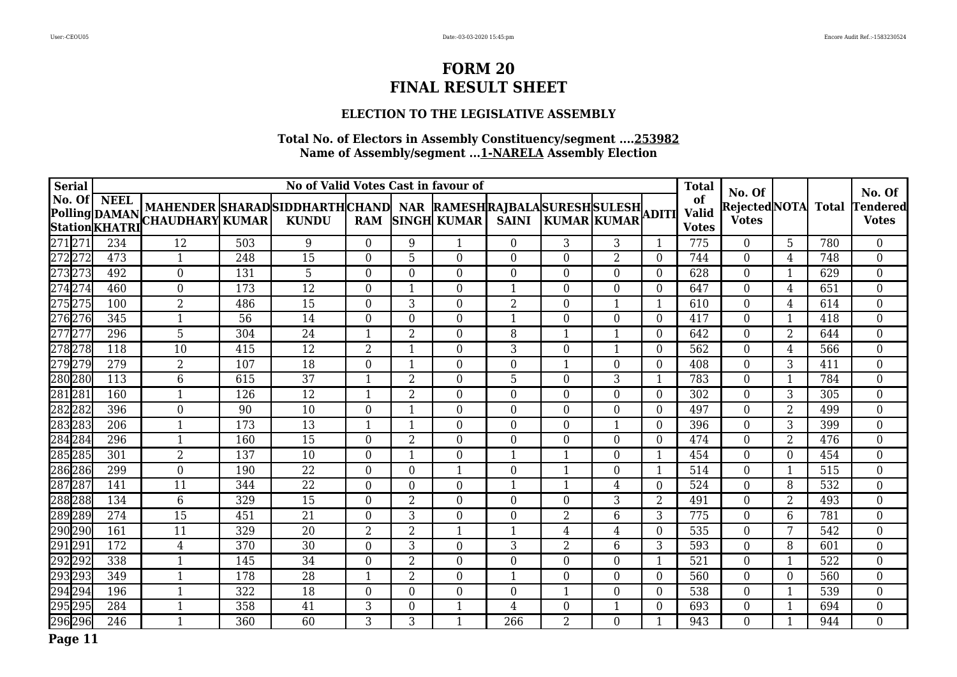### **ELECTION TO THE LEGISLATIVE ASSEMBLY**

| <b>Serial</b>      |     |                                                                                                                                       |     | No of Valid Votes Cast in favour of |                |                |                    |                  |                    |                |                | <b>Total</b>                       | No. Of                         |                  |              | No. Of                    |
|--------------------|-----|---------------------------------------------------------------------------------------------------------------------------------------|-----|-------------------------------------|----------------|----------------|--------------------|------------------|--------------------|----------------|----------------|------------------------------------|--------------------------------|------------------|--------------|---------------------------|
| No. Of   NEEL      |     | MAHENDER SHARAD SIDDHARTH CHAND   NAR RAMESH RAJBALA SURESH SULESH<br>Polling DAMAN MAHENDER SHARAD<br>Station KHATRI CHAUDHARY KUMAR |     | <b>KUNDU</b>                        | <b>RAM</b>     |                | <b>SINGH KUMAR</b> | <b>SAINI</b>     | <b>KUMAR KUMAR</b> |                | <b>ADITI</b>   | of<br><b>Valid</b><br><b>Votes</b> | Rejected NOTA <br><b>Votes</b> |                  | <b>Total</b> | Tendered <br><b>Votes</b> |
| 27127              | 234 | 12                                                                                                                                    | 503 | 9                                   | $\Omega$       | 9              |                    | $\Omega$         | 3                  | 3              |                | 775                                | $\overline{0}$                 | 5                | 780          | $\Omega$                  |
| 272 272<br>273 273 | 473 | $\mathbf{1}$                                                                                                                          | 248 | 15                                  | $\Omega$       | 5              | $\overline{0}$     | $\boldsymbol{0}$ | $\Omega$           | $\overline{2}$ | $\Omega$       | 744                                | $\overline{0}$                 | $\overline{4}$   | 748          | $\boldsymbol{0}$          |
|                    | 492 | $\boldsymbol{0}$                                                                                                                      | 131 | 5                                   | $\Omega$       | $\Omega$       | $\boldsymbol{0}$   | 0                | $\theta$           | $\overline{0}$ | $\Omega$       | 628                                | $\mathbf 0$                    | 1                | 629          | $\boldsymbol{0}$          |
| 274 274<br>275 275 | 460 | $\overline{0}$                                                                                                                        | 173 | $\overline{12}$                     | $\Omega$       | -1             | $\overline{0}$     | $\mathbf{1}$     | $\Omega$           | $\Omega$       | $\Omega$       | 647                                | $\overline{0}$                 | $\overline{4}$   | 651          | $\overline{0}$            |
|                    | 100 | $\overline{2}$                                                                                                                        | 486 | 15                                  | $\Omega$       | 3              | $\boldsymbol{0}$   | $\overline{2}$   | 0                  | 1              |                | 610                                | $\boldsymbol{0}$               | $\overline{4}$   | 614          | 0                         |
| 276276             | 345 | 1                                                                                                                                     | 56  | 14                                  | $\Omega$       | $\Omega$       | $\overline{0}$     | $\mathbf{1}$     | $\Omega$           | $\Omega$       | $\Omega$       | 417                                | $\overline{0}$                 | 1                | 418          | $\overline{0}$            |
| 27727              | 296 | 5                                                                                                                                     | 304 | 24                                  | $\mathbf 1$    | $\overline{2}$ | $\boldsymbol{0}$   | 8                | 1                  | $\mathbf{1}$   | $\Omega$       | 642                                | $\mathbf 0$                    | $\overline{2}$   | 644          | $\boldsymbol{0}$          |
| 278278             | 118 | 10                                                                                                                                    | 415 | 12                                  | $\overline{2}$ | -1             | 0                  | 3                | $\Omega$           | 1              | $\overline{0}$ | 562                                | $\boldsymbol{0}$               | $\overline{4}$   | 566          | 0                         |
| 279279             | 279 | $\overline{2}$                                                                                                                        | 107 | 18                                  | $\overline{0}$ | -1             | $\boldsymbol{0}$   | $\boldsymbol{0}$ | $\mathbf 1$        | $\overline{0}$ | $\Omega$       | 408                                | $\boldsymbol{0}$               | 3                | 411          | 0                         |
| 280 280            | 113 | 6                                                                                                                                     | 615 | 37                                  | $\mathbf{1}$   | $\overline{2}$ | 0                  | 5                | $\Omega$           | 3              | 1              | 783                                | $\boldsymbol{0}$               | 1                | 784          | $\boldsymbol{0}$          |
| 281281             | 160 | $\mathbf{1}$                                                                                                                          | 126 | 12                                  | $\mathbf 1$    | $\overline{2}$ | $\boldsymbol{0}$   | $\boldsymbol{0}$ | 0                  | $\overline{0}$ | $\Omega$       | 302                                | $\boldsymbol{0}$               | $\mathbf{3}$     | 305          | $\overline{0}$            |
| 282282             | 396 | $\boldsymbol{0}$                                                                                                                      | 90  | 10                                  | $\overline{0}$ | -1             | 0                  | $\mathbf{0}$     | $\Omega$           | $\mathbf{0}$   | $\Omega$       | 497                                | $\boldsymbol{0}$               | $\overline{2}$   | 499          | $\boldsymbol{0}$          |
| 283283             | 206 | $\mathbf{1}$                                                                                                                          | 173 | 13                                  | $\mathbf{1}$   | -1             | 0                  | $\boldsymbol{0}$ | $\Omega$           | 1              | $\Omega$       | 396                                | $\boldsymbol{0}$               | 3                | 399          | $\boldsymbol{0}$          |
| 284 284            | 296 | 1                                                                                                                                     | 160 | 15                                  | $\Omega$       | $\overline{2}$ | 0                  | 0                | 0                  | $\mathbf{0}$   | $\Omega$       | 474                                | $\boldsymbol{0}$               | $\overline{2}$   | 476          | $\boldsymbol{0}$          |
| 285 285            | 301 | $\overline{2}$                                                                                                                        | 137 | 10                                  | $\overline{0}$ |                | $\boldsymbol{0}$   | 1                | 1                  | $\overline{0}$ |                | 454                                | $\boldsymbol{0}$               | $\boldsymbol{0}$ | 454          | $\boldsymbol{0}$          |
| 286286             | 299 | $\overline{0}$                                                                                                                        | 190 | 22                                  | $\Omega$       | $\Omega$       | $\mathbf 1$        | $\boldsymbol{0}$ | -1                 | $\theta$       |                | 514                                | $\boldsymbol{0}$               | 1                | 515          | $\overline{0}$            |
| 287 287            | 141 | 11                                                                                                                                    | 344 | $\overline{22}$                     | $\overline{0}$ | $\Omega$       | $\overline{0}$     | 1                | $\overline{1}$     | 4              | $\Omega$       | 524                                | $\overline{0}$                 | 8                | 532          | 0                         |
| 288288             | 134 | 6                                                                                                                                     | 329 | 15                                  | $\Omega$       | 2              | 0                  | $\Omega$         | $\Omega$           | 3              | 2              | 491                                | $\Omega$                       | $\overline{2}$   | 493          | $\Omega$                  |
| 289 289<br>290 290 | 274 | 15                                                                                                                                    | 451 | 21                                  | $\Omega$       | 3              | $\Omega$           | $\theta$         | $\overline{2}$     | 6              | 3              | 775                                | $\Omega$                       | 6                | 781          | 0                         |
|                    | 161 | 11                                                                                                                                    | 329 | 20                                  | 2              | $\overline{2}$ | -1                 |                  | 4                  | 4              | 0              | 535                                | $\Omega$                       | 7                | 542          | $\Omega$                  |
|                    | 172 | 4                                                                                                                                     | 370 | 30                                  | $\Omega$       | 3              | $\overline{0}$     | 3                | $\overline{2}$     | 6              | 3              | 593                                | $\Omega$                       | 8                | 601          | 0                         |
| 291291<br>292292   | 338 | 1                                                                                                                                     | 145 | 34                                  | $\Omega$       | $\overline{2}$ | 0                  | $\Omega$         | $\Omega$           | $\theta$       |                | 521                                | $\Omega$                       | -1               | 522          | $\overline{0}$            |
| 293293<br>294294   | 349 | $\mathbf{1}$                                                                                                                          | 178 | 28                                  | $\mathbf{1}$   | $\overline{2}$ | $\Omega$           | $\mathbf{1}$     | $\Omega$           | $\Omega$       | $\Omega$       | 560                                | $\overline{0}$                 | $\overline{0}$   | 560          | $\overline{0}$            |
|                    | 196 | 1                                                                                                                                     | 322 | 18                                  | $\Omega$       | $\Omega$       | $\mathbf{0}$       | $\mathbf{0}$     | $\mathbf 1$        | $\theta$       | $\Omega$       | 538                                | $\mathbf 0$                    | 1                | 539          | $\boldsymbol{0}$          |
| 295 295            | 284 | $\mathbf{1}$                                                                                                                          | 358 | 41                                  | 3              | $\Omega$       | $\mathbf 1$        | 4                | $\Omega$           | 1              | $\Omega$       | 693                                | $\overline{0}$                 | 1                | 694          | 0                         |
| 296 296            | 246 | $\mathbf{1}$                                                                                                                          | 360 | 60                                  | 3              | 3              | -1                 | 266              | 2                  | $\Omega$       |                | 943                                | $\theta$                       | $\mathbf{1}$     | 944          | $\overline{0}$            |